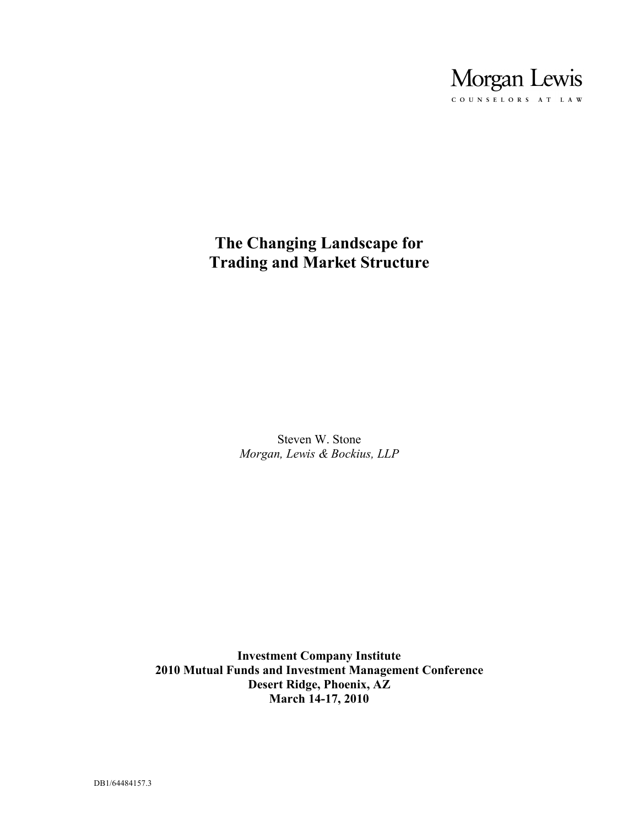

# **The Changing Landscape for Trading and Market Structure**

Steven W. Stone *Morgan, Lewis & Bockius, LLP*

**Investment Company Institute 2010 Mutual Funds and Investment Management Conference Desert Ridge, Phoenix, AZ March 14-17, 2010**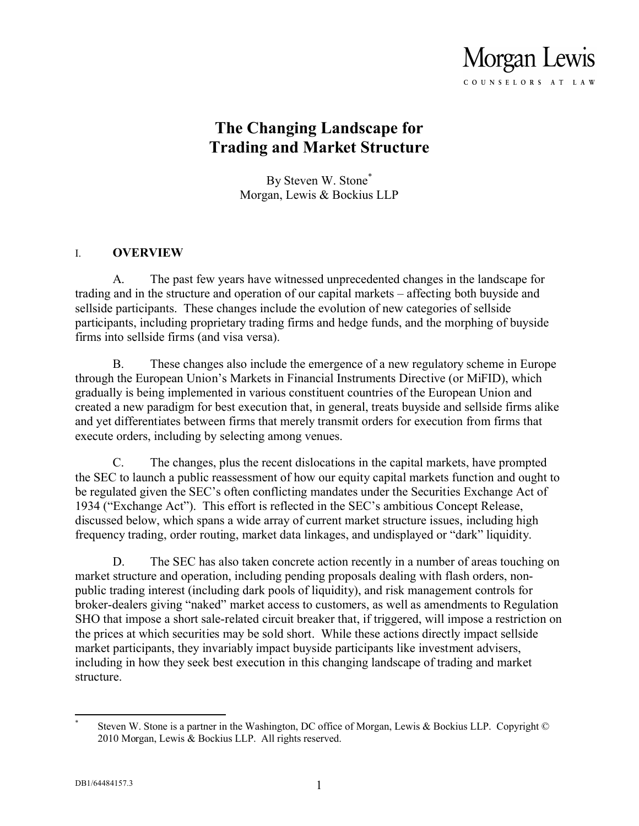

# **The Changing Landscape for Trading and Market Structure**

By Steven W. Stone\* Morgan, Lewis & Bockius LLP

#### I. **OVERVIEW**

A. The past few years have witnessed unprecedented changes in the landscape for trading and in the structure and operation of our capital markets – affecting both buyside and sellside participants. These changes include the evolution of new categories of sellside participants, including proprietary trading firms and hedge funds, and the morphing of buyside firms into sellside firms (and visa versa).

B. These changes also include the emergence of a new regulatory scheme in Europe through the European Union's Markets in Financial Instruments Directive (or MiFID), which gradually is being implemented in various constituent countries of the European Union and created a new paradigm for best execution that, in general, treats buyside and sellside firms alike and yet differentiates between firms that merely transmit orders for execution from firms that execute orders, including by selecting among venues.

C. The changes, plus the recent dislocations in the capital markets, have prompted the SEC to launch a public reassessment of how our equity capital markets function and ought to be regulated given the SEC's often conflicting mandates under the Securities Exchange Act of 1934 ("Exchange Act"). This effort is reflected in the SEC's ambitious Concept Release, discussed below, which spans a wide array of current market structure issues, including high frequency trading, order routing, market data linkages, and undisplayed or "dark" liquidity.

D. The SEC has also taken concrete action recently in a number of areas touching on market structure and operation, including pending proposals dealing with flash orders, nonpublic trading interest (including dark pools of liquidity), and risk management controls for broker-dealers giving "naked" market access to customers, as well as amendments to Regulation SHO that impose a short sale-related circuit breaker that, if triggered, will impose a restriction on the prices at which securities may be sold short. While these actions directly impact sellside market participants, they invariably impact buyside participants like investment advisers, including in how they seek best execution in this changing landscape of trading and market structure.

 $\overline{a}$ \* Steven W. Stone is a partner in the Washington, DC office of Morgan, Lewis & Bockius LLP. Copyright © 2010 Morgan, Lewis & Bockius LLP. All rights reserved.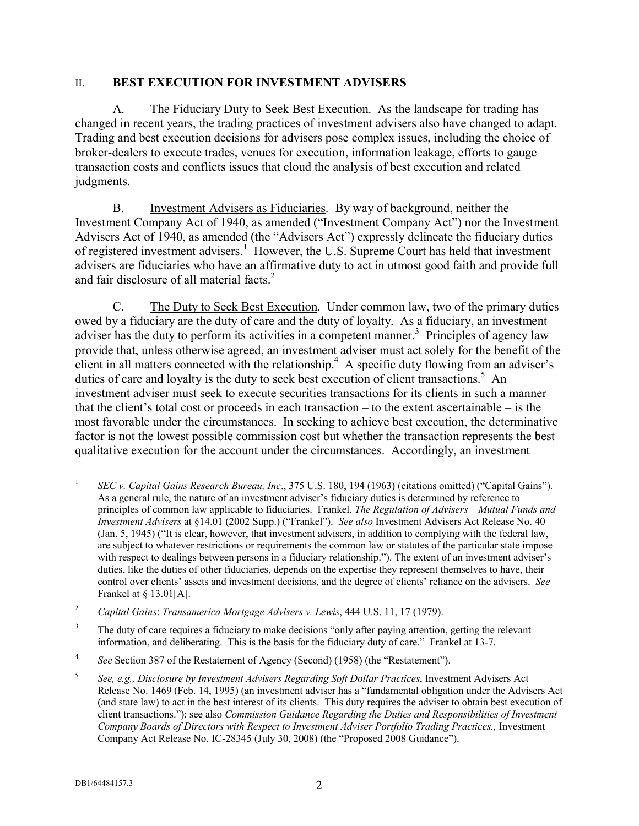#### II. **BEST EXECUTION FOR INVESTMENT ADVISERS**

A. The Fiduciary Duty to Seek Best Execution. As the landscape for trading has changed in recent years, the trading practices of investment advisers also have changed to adapt. Trading and best execution decisions for advisers pose complex issues, including the choice of broker-dealers to execute trades, venues for execution, information leakage, efforts to gauge transaction costs and conflicts issues that cloud the analysis of best execution and related judgments.

B. Investment Advisers as Fiduciaries. By way of background, neither the Investment Company Act of 1940, as amended ("Investment Company Act") nor the Investment Advisers Act of 1940, as amended (the "Advisers Act") expressly delineate the fiduciary duties of registered investment advisers.<sup>1</sup> However, the U.S. Supreme Court has held that investment advisers are fiduciaries who have an affirmative duty to act in utmost good faith and provide full and fair disclosure of all material facts.<sup>2</sup>

C. The Duty to Seek Best Execution. Under common law, two of the primary duties owed by a fiduciary are the duty of care and the duty of loyalty. As a fiduciary, an investment adviser has the duty to perform its activities in a competent manner.<sup>3</sup> Principles of agency law provide that, unless otherwise agreed, an investment adviser must act solely for the benefit of the client in all matters connected with the relationship.<sup>4</sup> A specific duty flowing from an adviser's duties of care and loyalty is the duty to seek best execution of client transactions.<sup>5</sup> An investment adviser must seek to execute securities transactions for its clients in such a manner that the client's total cost or proceeds in each transaction – to the extent ascertainable – is the most favorable under the circumstances. In seeking to achieve best execution, the determinative factor is not the lowest possible commission cost but whether the transaction represents the best qualitative execution for the account under the circumstances. Accordingly, an investment

 $\overline{a}$ 1 *SEC v. Capital Gains Research Bureau, Inc*., 375 U.S. 180, 194 (1963) (citations omitted) ("Capital Gains"). As a general rule, the nature of an investment adviser's fiduciary duties is determined by reference to principles of common law applicable to fiduciaries. Frankel, *The Regulation of Advisers – Mutual Funds and Investment Advisers* at §14.01 (2002 Supp.) ("Frankel"). *See also* Investment Advisers Act Release No. 40 (Jan. 5, 1945) ("It is clear, however, that investment advisers, in addition to complying with the federal law, are subject to whatever restrictions or requirements the common law or statutes of the particular state impose with respect to dealings between persons in a fiduciary relationship."). The extent of an investment adviser's duties, like the duties of other fiduciaries, depends on the expertise they represent themselves to have, their control over clients' assets and investment decisions, and the degree of clients' reliance on the advisers. *See* Frankel at § 13.01[A].

<sup>2</sup> *Capital Gains*: *Transamerica Mortgage Advisers v. Lewis*, 444 U.S. 11, 17 (1979).

<sup>&</sup>lt;sup>3</sup> The duty of care requires a fiduciary to make decisions "only after paying attention, getting the relevant information, and deliberating. This is the basis for the fiduciary duty of care." Frankel at 13-7.

<sup>4</sup> *See* Section 387 of the Restatement of Agency (Second) (1958) (the "Restatement").

<sup>5</sup> *See, e.g., Disclosure by Investment Advisers Regarding Soft Dollar Practices*, Investment Advisers Act Release No. 1469 (Feb. 14, 1995) (an investment adviser has a "fundamental obligation under the Advisers Act (and state law) to act in the best interest of its clients. This duty requires the adviser to obtain best execution of client transactions."); see also *Commission Guidance Regarding the Duties and Responsibilities of Investment Company Boards of Directors with Respect to Investment Adviser Portfolio Trading Practices.,* Investment Company Act Release No. IC-28345 (July 30, 2008) (the "Proposed 2008 Guidance").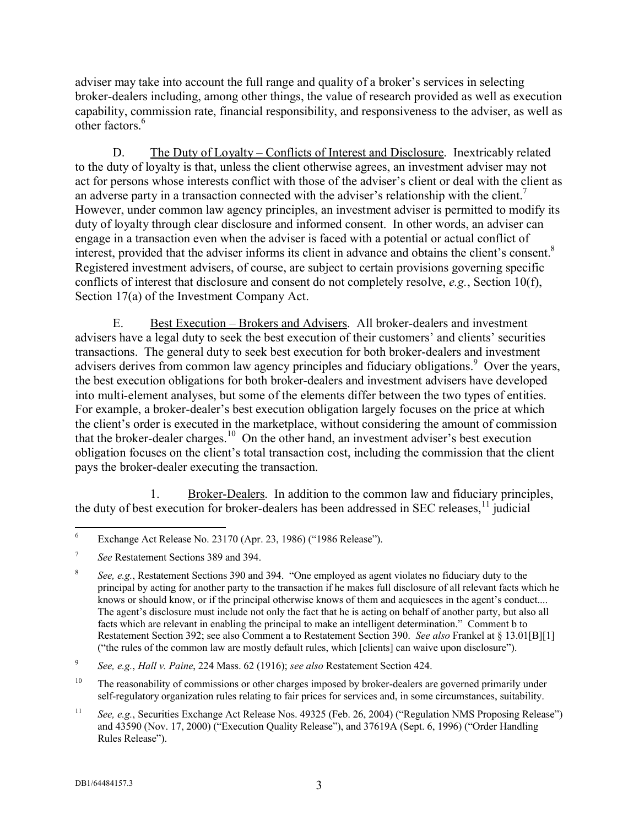adviser may take into account the full range and quality of a broker's services in selecting broker-dealers including, among other things, the value of research provided as well as execution capability, commission rate, financial responsibility, and responsiveness to the adviser, as well as other factors<sup>6</sup>

D. The Duty of Loyalty – Conflicts of Interest and Disclosure. Inextricably related to the duty of loyalty is that, unless the client otherwise agrees, an investment adviser may not act for persons whose interests conflict with those of the adviser's client or deal with the client as an adverse party in a transaction connected with the adviser's relationship with the client.<sup>7</sup> However, under common law agency principles, an investment adviser is permitted to modify its duty of loyalty through clear disclosure and informed consent. In other words, an adviser can engage in a transaction even when the adviser is faced with a potential or actual conflict of interest, provided that the adviser informs its client in advance and obtains the client's consent.<sup>8</sup> Registered investment advisers, of course, are subject to certain provisions governing specific conflicts of interest that disclosure and consent do not completely resolve, *e.g.*, Section 10(f), Section 17(a) of the Investment Company Act.

E. Best Execution – Brokers and Advisers. All broker-dealers and investment advisers have a legal duty to seek the best execution of their customers' and clients' securities transactions. The general duty to seek best execution for both broker-dealers and investment advisers derives from common law agency principles and fiduciary obligations.<sup>9</sup> Over the years, the best execution obligations for both broker-dealers and investment advisers have developed into multi-element analyses, but some of the elements differ between the two types of entities. For example, a broker-dealer's best execution obligation largely focuses on the price at which the client's order is executed in the marketplace, without considering the amount of commission that the broker-dealer charges.<sup>10</sup> On the other hand, an investment adviser's best execution obligation focuses on the client's total transaction cost, including the commission that the client pays the broker-dealer executing the transaction.

1. Broker-Dealers. In addition to the common law and fiduciary principles, the duty of best execution for broker-dealers has been addressed in SEC releases,  $\frac{11}{11}$  judicial

<sup>6</sup> Exchange Act Release No. 23170 (Apr. 23, 1986) ("1986 Release").

<sup>7</sup> *See* Restatement Sections 389 and 394.

<sup>8</sup> *See, e.g.*, Restatement Sections 390 and 394. "One employed as agent violates no fiduciary duty to the principal by acting for another party to the transaction if he makes full disclosure of all relevant facts which he knows or should know, or if the principal otherwise knows of them and acquiesces in the agent's conduct.... The agent's disclosure must include not only the fact that he is acting on behalf of another party, but also all facts which are relevant in enabling the principal to make an intelligent determination." Comment b to Restatement Section 392; see also Comment a to Restatement Section 390. *See also* Frankel at § 13.01[B][1] ("the rules of the common law are mostly default rules, which [clients] can waive upon disclosure").

<sup>9</sup> *See, e.g.*, *Hall v. Paine*, 224 Mass. 62 (1916); *see also* Restatement Section 424.

<sup>&</sup>lt;sup>10</sup> The reasonability of commissions or other charges imposed by broker-dealers are governed primarily under self-regulatory organization rules relating to fair prices for services and, in some circumstances, suitability.

<sup>&</sup>lt;sup>11</sup> *See, e.g.*, Securities Exchange Act Release Nos. 49325 (Feb. 26, 2004) ("Regulation NMS Proposing Release") and 43590 (Nov. 17, 2000) ("Execution Quality Release"), and 37619A (Sept. 6, 1996) ("Order Handling Rules Release").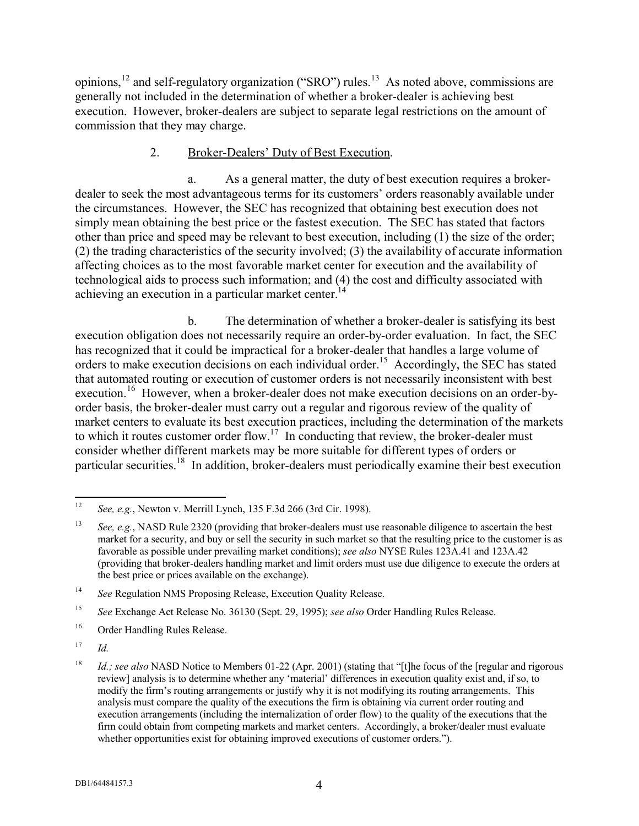opinions,<sup>12</sup> and self-regulatory organization ("SRO") rules.<sup>13</sup> As noted above, commissions are generally not included in the determination of whether a broker-dealer is achieving best execution. However, broker-dealers are subject to separate legal restrictions on the amount of commission that they may charge.

### 2. Broker-Dealers' Duty of Best Execution.

a. As a general matter, the duty of best execution requires a brokerdealer to seek the most advantageous terms for its customers' orders reasonably available under the circumstances. However, the SEC has recognized that obtaining best execution does not simply mean obtaining the best price or the fastest execution. The SEC has stated that factors other than price and speed may be relevant to best execution, including (1) the size of the order; (2) the trading characteristics of the security involved; (3) the availability of accurate information affecting choices as to the most favorable market center for execution and the availability of technological aids to process such information; and (4) the cost and difficulty associated with achieving an execution in a particular market center.<sup>14</sup>

b. The determination of whether a broker-dealer is satisfying its best execution obligation does not necessarily require an order-by-order evaluation. In fact, the SEC has recognized that it could be impractical for a broker-dealer that handles a large volume of orders to make execution decisions on each individual order.<sup>15</sup> Accordingly, the SEC has stated that automated routing or execution of customer orders is not necessarily inconsistent with best execution.<sup>16</sup> However, when a broker-dealer does not make execution decisions on an order-byorder basis, the broker-dealer must carry out a regular and rigorous review of the quality of market centers to evaluate its best execution practices, including the determination of the markets to which it routes customer order flow.<sup>17</sup> In conducting that review, the broker-dealer must consider whether different markets may be more suitable for different types of orders or particular securities.<sup>18</sup> In addition, broker-dealers must periodically examine their best execution

 $12$ <sup>12</sup> *See, e.g.*, Newton v. Merrill Lynch, 135 F.3d 266 (3rd Cir. 1998).

<sup>13</sup> *See, e.g.*, NASD Rule 2320 (providing that broker-dealers must use reasonable diligence to ascertain the best market for a security, and buy or sell the security in such market so that the resulting price to the customer is as favorable as possible under prevailing market conditions); *see also* NYSE Rules 123A.41 and 123A.42 (providing that broker-dealers handling market and limit orders must use due diligence to execute the orders at the best price or prices available on the exchange).

<sup>14</sup> *See* Regulation NMS Proposing Release, Execution Quality Release.

<sup>15</sup> *See* Exchange Act Release No. 36130 (Sept. 29, 1995); *see also* Order Handling Rules Release.

<sup>16</sup> Order Handling Rules Release.

 $17$  *Id.* 

<sup>&</sup>lt;sup>18</sup> *Id.; see also* NASD Notice to Members 01-22 (Apr. 2001) (stating that "[t]he focus of the [regular and rigorous review] analysis is to determine whether any 'material' differences in execution quality exist and, if so, to modify the firm's routing arrangements or justify why it is not modifying its routing arrangements. This analysis must compare the quality of the executions the firm is obtaining via current order routing and execution arrangements (including the internalization of order flow) to the quality of the executions that the firm could obtain from competing markets and market centers. Accordingly, a broker/dealer must evaluate whether opportunities exist for obtaining improved executions of customer orders.").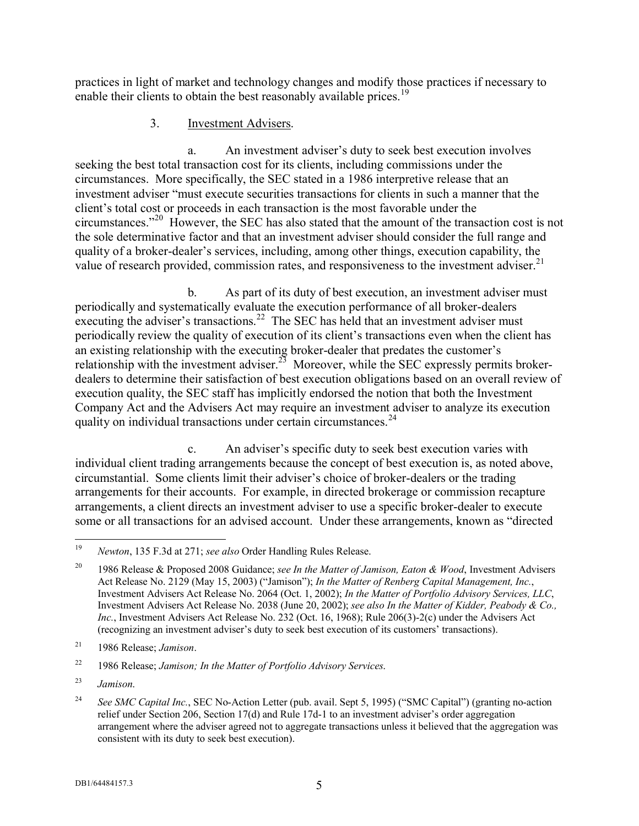practices in light of market and technology changes and modify those practices if necessary to enable their clients to obtain the best reasonably available prices.<sup>19</sup>

#### 3. Investment Advisers.

a. An investment adviser's duty to seek best execution involves seeking the best total transaction cost for its clients, including commissions under the circumstances. More specifically, the SEC stated in a 1986 interpretive release that an investment adviser "must execute securities transactions for clients in such a manner that the client's total cost or proceeds in each transaction is the most favorable under the circumstances."<sup>20</sup> However, the SEC has also stated that the amount of the transaction cost is not the sole determinative factor and that an investment adviser should consider the full range and quality of a broker-dealer's services, including, among other things, execution capability, the value of research provided, commission rates, and responsiveness to the investment adviser.<sup>21</sup>

b. As part of its duty of best execution, an investment adviser must periodically and systematically evaluate the execution performance of all broker-dealers executing the adviser's transactions.<sup>22</sup> The SEC has held that an investment adviser must periodically review the quality of execution of its client's transactions even when the client has an existing relationship with the executing broker-dealer that predates the customer's relationship with the investment adviser.<sup>23</sup> Moreover, while the SEC expressly permits brokerdealers to determine their satisfaction of best execution obligations based on an overall review of execution quality, the SEC staff has implicitly endorsed the notion that both the Investment Company Act and the Advisers Act may require an investment adviser to analyze its execution quality on individual transactions under certain circumstances.<sup>24</sup>

c. An adviser's specific duty to seek best execution varies with individual client trading arrangements because the concept of best execution is, as noted above, circumstantial. Some clients limit their adviser's choice of broker-dealers or the trading arrangements for their accounts. For example, in directed brokerage or commission recapture arrangements, a client directs an investment adviser to use a specific broker-dealer to execute some or all transactions for an advised account. Under these arrangements, known as "directed

<sup>19</sup> <sup>19</sup> *Newton*, 135 F.3d at 271; *see also* Order Handling Rules Release.

<sup>20</sup> 1986 Release & Proposed 2008 Guidance; *see In the Matter of Jamison, Eaton & Wood*, Investment Advisers Act Release No. 2129 (May 15, 2003) ("Jamison"); *In the Matter of Renberg Capital Management, Inc.*, Investment Advisers Act Release No. 2064 (Oct. 1, 2002); *In the Matter of Portfolio Advisory Services, LLC*, Investment Advisers Act Release No. 2038 (June 20, 2002); *see also In the Matter of Kidder, Peabody & Co., Inc.*, Investment Advisers Act Release No. 232 (Oct. 16, 1968); Rule 206(3)-2(c) under the Advisers Act (recognizing an investment adviser's duty to seek best execution of its customers' transactions).

<sup>21</sup> 1986 Release; *Jamison*.

<sup>22</sup> 1986 Release; *Jamison; In the Matter of Portfolio Advisory Services*.

<sup>23</sup> *Jamison*.

<sup>24</sup> *See SMC Capital Inc.*, SEC No-Action Letter (pub. avail. Sept 5, 1995) ("SMC Capital") (granting no-action relief under Section 206, Section 17(d) and Rule 17d-1 to an investment adviser's order aggregation arrangement where the adviser agreed not to aggregate transactions unless it believed that the aggregation was consistent with its duty to seek best execution).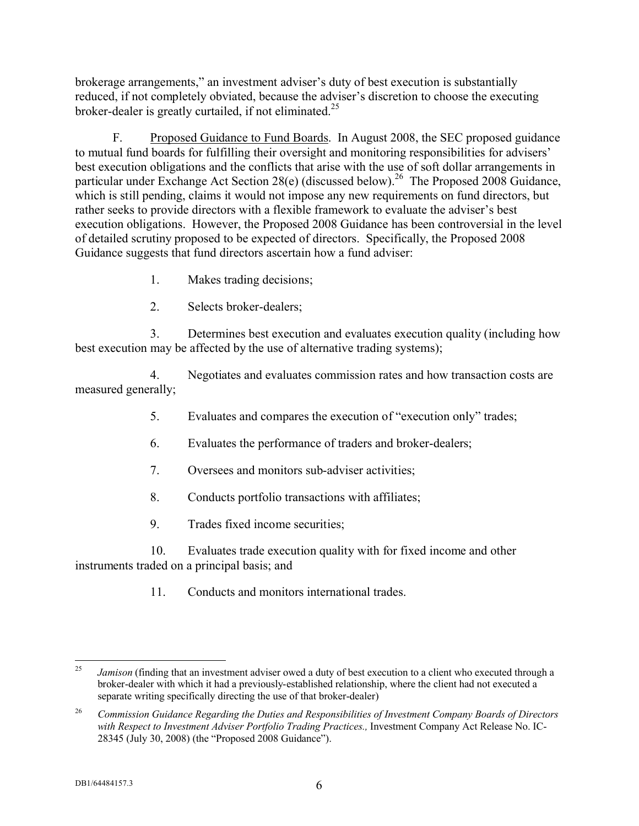brokerage arrangements," an investment adviser's duty of best execution is substantially reduced, if not completely obviated, because the adviser's discretion to choose the executing broker-dealer is greatly curtailed, if not eliminated.<sup>25</sup>

F. Proposed Guidance to Fund Boards. In August 2008, the SEC proposed guidance to mutual fund boards for fulfilling their oversight and monitoring responsibilities for advisers' best execution obligations and the conflicts that arise with the use of soft dollar arrangements in particular under Exchange Act Section 28(e) (discussed below).<sup>26</sup> The Proposed 2008 Guidance, which is still pending, claims it would not impose any new requirements on fund directors, but rather seeks to provide directors with a flexible framework to evaluate the adviser's best execution obligations. However, the Proposed 2008 Guidance has been controversial in the level of detailed scrutiny proposed to be expected of directors. Specifically, the Proposed 2008 Guidance suggests that fund directors ascertain how a fund adviser:

- 1. Makes trading decisions;
- 2. Selects broker-dealers;

3. Determines best execution and evaluates execution quality (including how best execution may be affected by the use of alternative trading systems);

4. Negotiates and evaluates commission rates and how transaction costs are measured generally;

- 5. Evaluates and compares the execution of "execution only" trades;
- 6. Evaluates the performance of traders and broker-dealers;
- 7. Oversees and monitors sub-adviser activities;
- 8. Conducts portfolio transactions with affiliates;
- 9. Trades fixed income securities;

10. Evaluates trade execution quality with for fixed income and other instruments traded on a principal basis; and

11. Conducts and monitors international trades.

<sup>25</sup> *Jamison* (finding that an investment adviser owed a duty of best execution to a client who executed through a broker-dealer with which it had a previously-established relationship, where the client had not executed a separate writing specifically directing the use of that broker-dealer)

<sup>26</sup> *Commission Guidance Regarding the Duties and Responsibilities of Investment Company Boards of Directors with Respect to Investment Adviser Portfolio Trading Practices.,* Investment Company Act Release No. IC-28345 (July 30, 2008) (the "Proposed 2008 Guidance").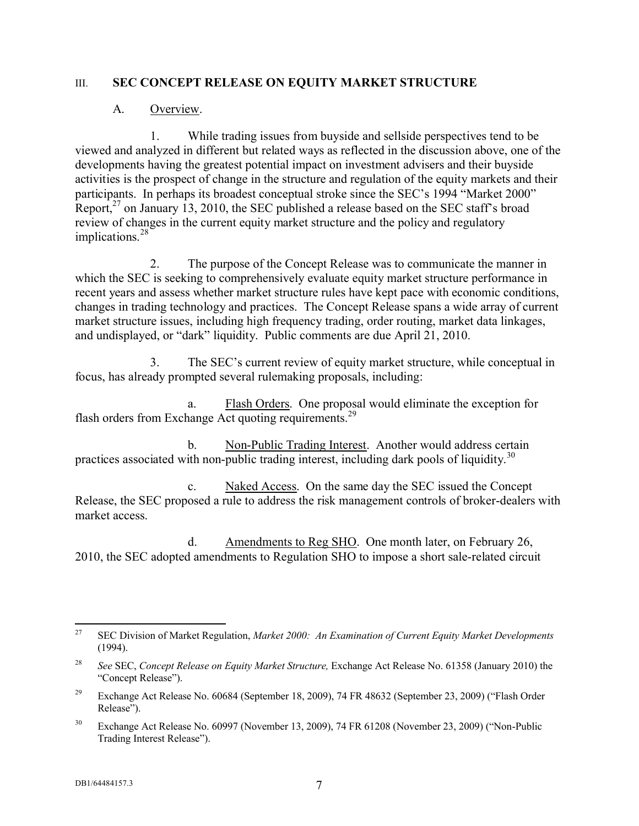#### III. **SEC CONCEPT RELEASE ON EQUITY MARKET STRUCTURE**

#### A. Overview.

1. While trading issues from buyside and sellside perspectives tend to be viewed and analyzed in different but related ways as reflected in the discussion above, one of the developments having the greatest potential impact on investment advisers and their buyside activities is the prospect of change in the structure and regulation of the equity markets and their participants. In perhaps its broadest conceptual stroke since the SEC's 1994 "Market 2000" Report, $^{27}$  on January 13, 2010, the SEC published a release based on the SEC staff's broad review of changes in the current equity market structure and the policy and regulatory implications. 28

2. The purpose of the Concept Release was to communicate the manner in which the SEC is seeking to comprehensively evaluate equity market structure performance in recent years and assess whether market structure rules have kept pace with economic conditions, changes in trading technology and practices. The Concept Release spans a wide array of current market structure issues, including high frequency trading, order routing, market data linkages, and undisplayed, or "dark" liquidity. Public comments are due April 21, 2010.

3. The SEC's current review of equity market structure, while conceptual in focus, has already prompted several rulemaking proposals, including:

a. Flash Orders. One proposal would eliminate the exception for flash orders from Exchange Act quoting requirements.<sup>29</sup>

b. Non-Public Trading Interest. Another would address certain practices associated with non-public trading interest, including dark pools of liquidity.<sup>30</sup>

c. Naked Access. On the same day the SEC issued the Concept Release, the SEC proposed a rule to address the risk management controls of broker-dealers with market access.

d. Amendments to Reg SHO. One month later, on February 26, 2010, the SEC adopted amendments to Regulation SHO to impose a short sale-related circuit

<sup>27</sup> <sup>27</sup> SEC Division of Market Regulation, *Market 2000: An Examination of Current Equity Market Developments* (1994).

<sup>28</sup> *See* SEC, *Concept Release on Equity Market Structure,* Exchange Act Release No. 61358 (January 2010) the "Concept Release").

<sup>29</sup> Exchange Act Release No. 60684 (September 18, 2009), 74 FR 48632 (September 23, 2009) ("Flash Order Release").

<sup>&</sup>lt;sup>30</sup> Exchange Act Release No. 60997 (November 13, 2009), 74 FR 61208 (November 23, 2009) ("Non-Public Trading Interest Release").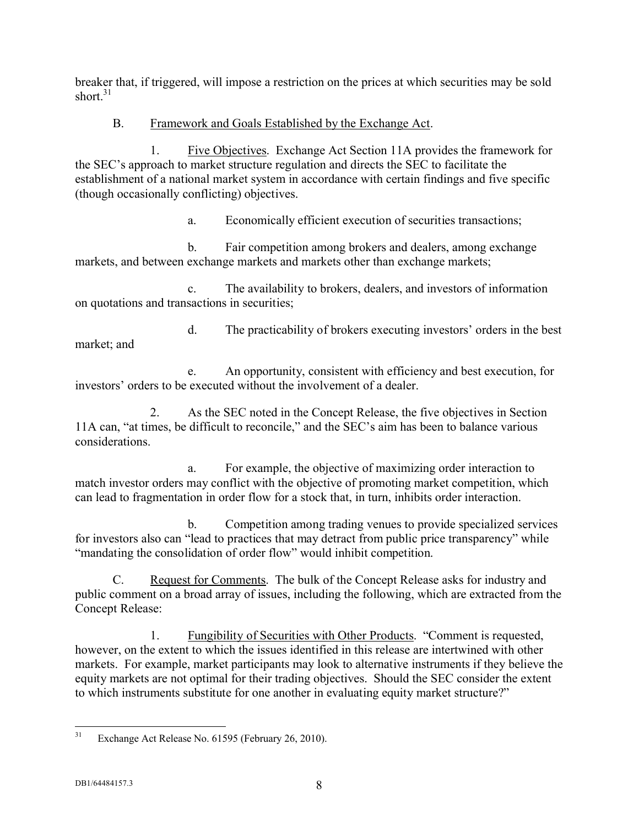breaker that, if triggered, will impose a restriction on the prices at which securities may be sold short. 31

## B. Framework and Goals Established by the Exchange Act.

1. Five Objectives. Exchange Act Section 11A provides the framework for the SEC's approach to market structure regulation and directs the SEC to facilitate the establishment of a national market system in accordance with certain findings and five specific (though occasionally conflicting) objectives.

a. Economically efficient execution of securities transactions;

b. Fair competition among brokers and dealers, among exchange markets, and between exchange markets and markets other than exchange markets;

c. The availability to brokers, dealers, and investors of information on quotations and transactions in securities;

d. The practicability of brokers executing investors' orders in the best market; and

e. An opportunity, consistent with efficiency and best execution, for investors' orders to be executed without the involvement of a dealer.

2. As the SEC noted in the Concept Release, the five objectives in Section 11A can, "at times, be difficult to reconcile," and the SEC's aim has been to balance various considerations.

a. For example, the objective of maximizing order interaction to match investor orders may conflict with the objective of promoting market competition, which can lead to fragmentation in order flow for a stock that, in turn, inhibits order interaction.

b. Competition among trading venues to provide specialized services for investors also can "lead to practices that may detract from public price transparency" while "mandating the consolidation of order flow" would inhibit competition.

C. Request for Comments. The bulk of the Concept Release asks for industry and public comment on a broad array of issues, including the following, which are extracted from the Concept Release:

1. Fungibility of Securities with Other Products. "Comment is requested, however, on the extent to which the issues identified in this release are intertwined with other markets. For example, market participants may look to alternative instruments if they believe the equity markets are not optimal for their trading objectives. Should the SEC consider the extent to which instruments substitute for one another in evaluating equity market structure?"

 $31$ Exchange Act Release No. 61595 (February 26, 2010).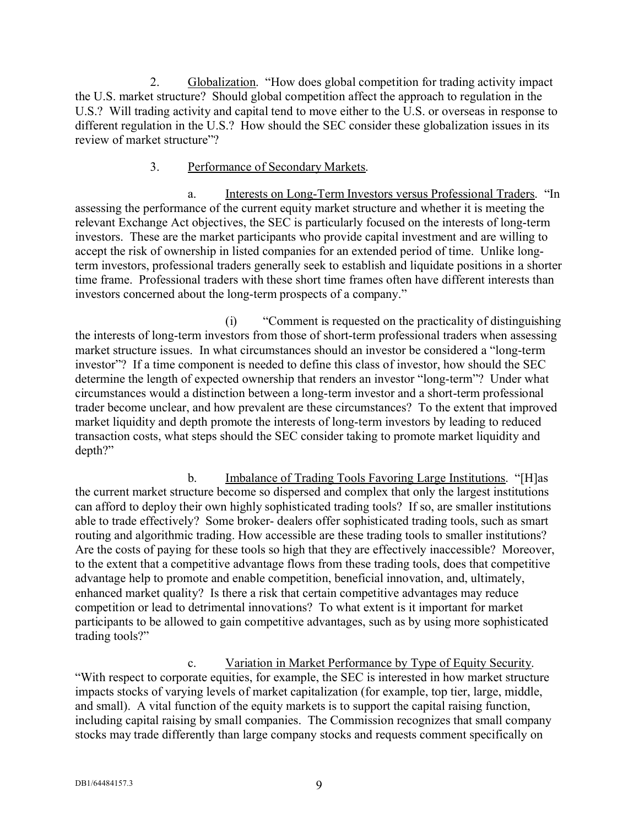2. Globalization. "How does global competition for trading activity impact the U.S. market structure? Should global competition affect the approach to regulation in the U.S.? Will trading activity and capital tend to move either to the U.S. or overseas in response to different regulation in the U.S.? How should the SEC consider these globalization issues in its review of market structure"?

#### 3. Performance of Secondary Markets.

a. Interests on Long-Term Investors versus Professional Traders. "In assessing the performance of the current equity market structure and whether it is meeting the relevant Exchange Act objectives, the SEC is particularly focused on the interests of long-term investors. These are the market participants who provide capital investment and are willing to accept the risk of ownership in listed companies for an extended period of time. Unlike longterm investors, professional traders generally seek to establish and liquidate positions in a shorter time frame. Professional traders with these short time frames often have different interests than investors concerned about the long-term prospects of a company."

(i) "Comment is requested on the practicality of distinguishing the interests of long-term investors from those of short-term professional traders when assessing market structure issues. In what circumstances should an investor be considered a "long-term investor"? If a time component is needed to define this class of investor, how should the SEC determine the length of expected ownership that renders an investor "long-term"? Under what circumstances would a distinction between a long-term investor and a short-term professional trader become unclear, and how prevalent are these circumstances? To the extent that improved market liquidity and depth promote the interests of long-term investors by leading to reduced transaction costs, what steps should the SEC consider taking to promote market liquidity and depth?"

b. Imbalance of Trading Tools Favoring Large Institutions. "[H]as the current market structure become so dispersed and complex that only the largest institutions can afford to deploy their own highly sophisticated trading tools? If so, are smaller institutions able to trade effectively? Some broker- dealers offer sophisticated trading tools, such as smart routing and algorithmic trading. How accessible are these trading tools to smaller institutions? Are the costs of paying for these tools so high that they are effectively inaccessible? Moreover, to the extent that a competitive advantage flows from these trading tools, does that competitive advantage help to promote and enable competition, beneficial innovation, and, ultimately, enhanced market quality? Is there a risk that certain competitive advantages may reduce competition or lead to detrimental innovations? To what extent is it important for market participants to be allowed to gain competitive advantages, such as by using more sophisticated trading tools?"

c. Variation in Market Performance by Type of Equity Security. "With respect to corporate equities, for example, the SEC is interested in how market structure impacts stocks of varying levels of market capitalization (for example, top tier, large, middle, and small). A vital function of the equity markets is to support the capital raising function, including capital raising by small companies. The Commission recognizes that small company stocks may trade differently than large company stocks and requests comment specifically on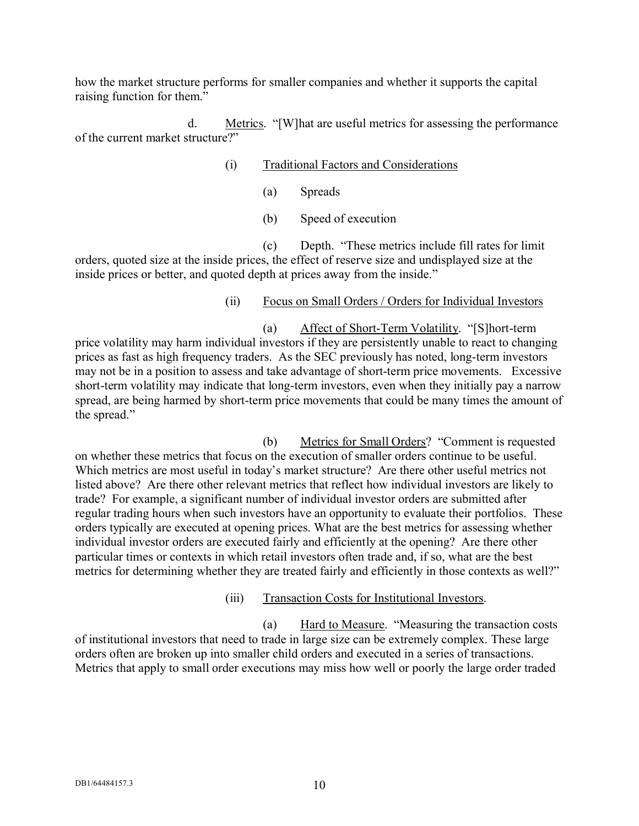how the market structure performs for smaller companies and whether it supports the capital raising function for them."

d. Metrics. "[W]hat are useful metrics for assessing the performance of the current market structure?"

#### (i) Traditional Factors and Considerations

- (a) Spreads
- (b) Speed of execution

(c) Depth. "These metrics include fill rates for limit orders, quoted size at the inside prices, the effect of reserve size and undisplayed size at the inside prices or better, and quoted depth at prices away from the inside."

#### (ii) Focus on Small Orders / Orders for Individual Investors

(a) Affect of Short-Term Volatility. "[S]hort-term price volatility may harm individual investors if they are persistently unable to react to changing prices as fast as high frequency traders. As the SEC previously has noted, long-term investors may not be in a position to assess and take advantage of short-term price movements. Excessive short-term volatility may indicate that long-term investors, even when they initially pay a narrow spread, are being harmed by short-term price movements that could be many times the amount of the spread."

(b) Metrics for Small Orders? "Comment is requested on whether these metrics that focus on the execution of smaller orders continue to be useful. Which metrics are most useful in today's market structure? Are there other useful metrics not listed above? Are there other relevant metrics that reflect how individual investors are likely to trade? For example, a significant number of individual investor orders are submitted after regular trading hours when such investors have an opportunity to evaluate their portfolios. These orders typically are executed at opening prices. What are the best metrics for assessing whether individual investor orders are executed fairly and efficiently at the opening? Are there other particular times or contexts in which retail investors often trade and, if so, what are the best metrics for determining whether they are treated fairly and efficiently in those contexts as well?"

(iii) Transaction Costs for Institutional Investors.

(a) Hard to Measure. "Measuring the transaction costs of institutional investors that need to trade in large size can be extremely complex. These large orders often are broken up into smaller child orders and executed in a series of transactions. Metrics that apply to small order executions may miss how well or poorly the large order traded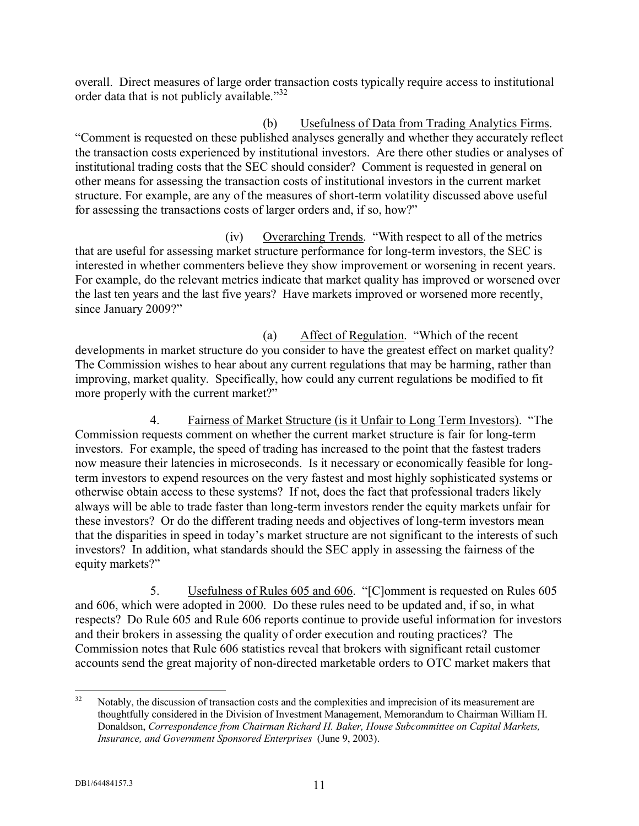overall. Direct measures of large order transaction costs typically require access to institutional order data that is not publicly available."<sup>32</sup>

(b) Usefulness of Data from Trading Analytics Firms. "Comment is requested on these published analyses generally and whether they accurately reflect the transaction costs experienced by institutional investors. Are there other studies or analyses of institutional trading costs that the SEC should consider? Comment is requested in general on other means for assessing the transaction costs of institutional investors in the current market structure. For example, are any of the measures of short-term volatility discussed above useful for assessing the transactions costs of larger orders and, if so, how?"

(iv) Overarching Trends. "With respect to all of the metrics that are useful for assessing market structure performance for long-term investors, the SEC is interested in whether commenters believe they show improvement or worsening in recent years. For example, do the relevant metrics indicate that market quality has improved or worsened over the last ten years and the last five years? Have markets improved or worsened more recently, since January 2009?"

(a) Affect of Regulation. "Which of the recent developments in market structure do you consider to have the greatest effect on market quality? The Commission wishes to hear about any current regulations that may be harming, rather than improving, market quality. Specifically, how could any current regulations be modified to fit more properly with the current market?"

4. Fairness of Market Structure (is it Unfair to Long Term Investors). "The Commission requests comment on whether the current market structure is fair for long-term investors. For example, the speed of trading has increased to the point that the fastest traders now measure their latencies in microseconds. Is it necessary or economically feasible for longterm investors to expend resources on the very fastest and most highly sophisticated systems or otherwise obtain access to these systems? If not, does the fact that professional traders likely always will be able to trade faster than long-term investors render the equity markets unfair for these investors? Or do the different trading needs and objectives of long-term investors mean that the disparities in speed in today's market structure are not significant to the interests of such investors? In addition, what standards should the SEC apply in assessing the fairness of the equity markets?"

5. Usefulness of Rules 605 and 606. "[C]omment is requested on Rules 605 and 606, which were adopted in 2000. Do these rules need to be updated and, if so, in what respects? Do Rule 605 and Rule 606 reports continue to provide useful information for investors and their brokers in assessing the quality of order execution and routing practices? The Commission notes that Rule 606 statistics reveal that brokers with significant retail customer accounts send the great majority of non-directed marketable orders to OTC market makers that

 $32$ Notably, the discussion of transaction costs and the complexities and imprecision of its measurement are thoughtfully considered in the Division of Investment Management, Memorandum to Chairman William H. Donaldson, *Correspondence from Chairman Richard H. Baker, House Subcommittee on Capital Markets, Insurance, and Government Sponsored Enterprises* (June 9, 2003).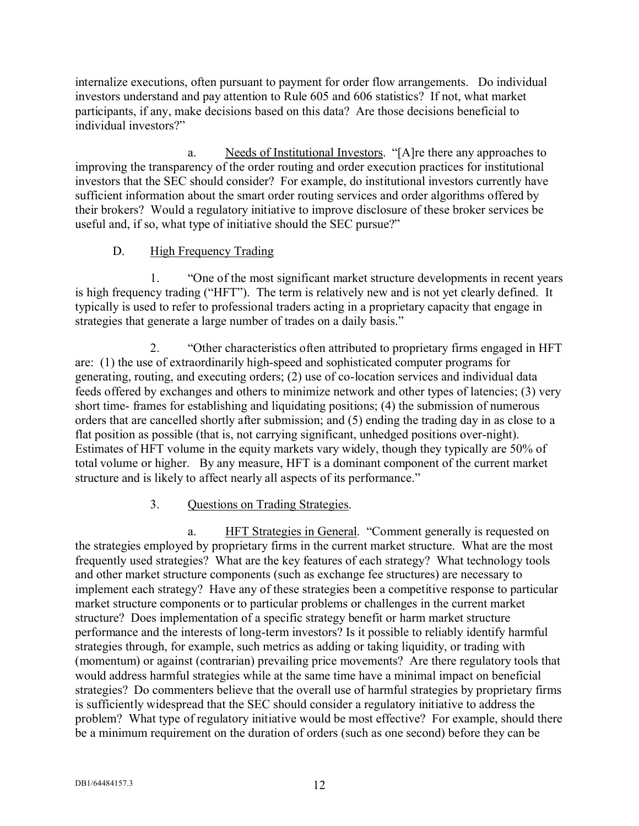internalize executions, often pursuant to payment for order flow arrangements. Do individual investors understand and pay attention to Rule 605 and 606 statistics? If not, what market participants, if any, make decisions based on this data? Are those decisions beneficial to individual investors?"

a. Needs of Institutional Investors. "[A]re there any approaches to improving the transparency of the order routing and order execution practices for institutional investors that the SEC should consider? For example, do institutional investors currently have sufficient information about the smart order routing services and order algorithms offered by their brokers? Would a regulatory initiative to improve disclosure of these broker services be useful and, if so, what type of initiative should the SEC pursue?"

## D. High Frequency Trading

1. "One of the most significant market structure developments in recent years is high frequency trading ("HFT"). The term is relatively new and is not yet clearly defined. It typically is used to refer to professional traders acting in a proprietary capacity that engage in strategies that generate a large number of trades on a daily basis."

2. "Other characteristics often attributed to proprietary firms engaged in HFT are: (1) the use of extraordinarily high-speed and sophisticated computer programs for generating, routing, and executing orders; (2) use of co-location services and individual data feeds offered by exchanges and others to minimize network and other types of latencies; (3) very short time- frames for establishing and liquidating positions; (4) the submission of numerous orders that are cancelled shortly after submission; and (5) ending the trading day in as close to a flat position as possible (that is, not carrying significant, unhedged positions over-night). Estimates of HFT volume in the equity markets vary widely, though they typically are 50% of total volume or higher. By any measure, HFT is a dominant component of the current market structure and is likely to affect nearly all aspects of its performance."

## 3. Questions on Trading Strategies.

a. HFT Strategies in General. "Comment generally is requested on the strategies employed by proprietary firms in the current market structure. What are the most frequently used strategies? What are the key features of each strategy? What technology tools and other market structure components (such as exchange fee structures) are necessary to implement each strategy? Have any of these strategies been a competitive response to particular market structure components or to particular problems or challenges in the current market structure? Does implementation of a specific strategy benefit or harm market structure performance and the interests of long-term investors? Is it possible to reliably identify harmful strategies through, for example, such metrics as adding or taking liquidity, or trading with (momentum) or against (contrarian) prevailing price movements? Are there regulatory tools that would address harmful strategies while at the same time have a minimal impact on beneficial strategies? Do commenters believe that the overall use of harmful strategies by proprietary firms is sufficiently widespread that the SEC should consider a regulatory initiative to address the problem? What type of regulatory initiative would be most effective? For example, should there be a minimum requirement on the duration of orders (such as one second) before they can be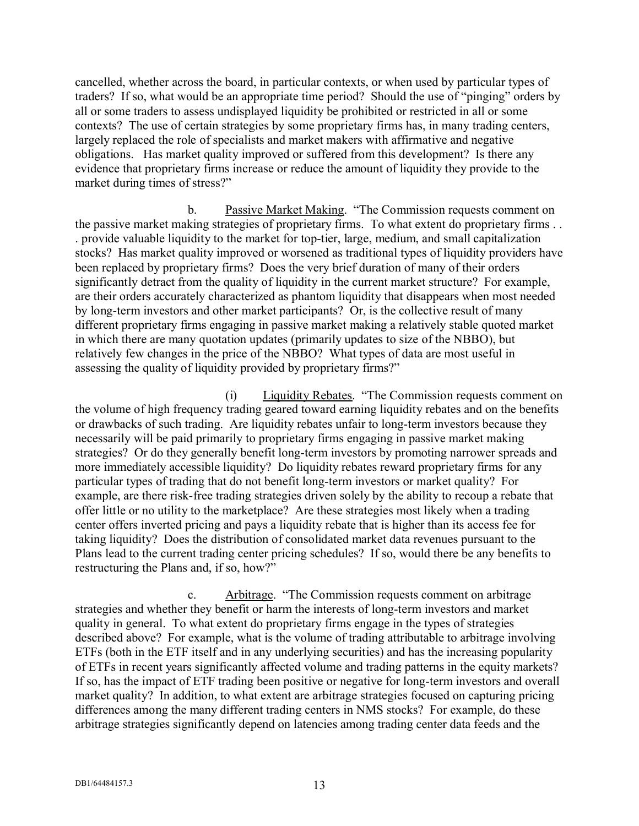cancelled, whether across the board, in particular contexts, or when used by particular types of traders? If so, what would be an appropriate time period? Should the use of "pinging" orders by all or some traders to assess undisplayed liquidity be prohibited or restricted in all or some contexts? The use of certain strategies by some proprietary firms has, in many trading centers, largely replaced the role of specialists and market makers with affirmative and negative obligations. Has market quality improved or suffered from this development? Is there any evidence that proprietary firms increase or reduce the amount of liquidity they provide to the market during times of stress?"

b. Passive Market Making. "The Commission requests comment on the passive market making strategies of proprietary firms. To what extent do proprietary firms . . . provide valuable liquidity to the market for top-tier, large, medium, and small capitalization stocks? Has market quality improved or worsened as traditional types of liquidity providers have been replaced by proprietary firms? Does the very brief duration of many of their orders significantly detract from the quality of liquidity in the current market structure? For example, are their orders accurately characterized as phantom liquidity that disappears when most needed by long-term investors and other market participants? Or, is the collective result of many different proprietary firms engaging in passive market making a relatively stable quoted market in which there are many quotation updates (primarily updates to size of the NBBO), but relatively few changes in the price of the NBBO? What types of data are most useful in assessing the quality of liquidity provided by proprietary firms?"

(i) Liquidity Rebates. "The Commission requests comment on the volume of high frequency trading geared toward earning liquidity rebates and on the benefits or drawbacks of such trading. Are liquidity rebates unfair to long-term investors because they necessarily will be paid primarily to proprietary firms engaging in passive market making strategies? Or do they generally benefit long-term investors by promoting narrower spreads and more immediately accessible liquidity? Do liquidity rebates reward proprietary firms for any particular types of trading that do not benefit long-term investors or market quality? For example, are there risk-free trading strategies driven solely by the ability to recoup a rebate that offer little or no utility to the marketplace? Are these strategies most likely when a trading center offers inverted pricing and pays a liquidity rebate that is higher than its access fee for taking liquidity? Does the distribution of consolidated market data revenues pursuant to the Plans lead to the current trading center pricing schedules? If so, would there be any benefits to restructuring the Plans and, if so, how?"

c. Arbitrage. "The Commission requests comment on arbitrage strategies and whether they benefit or harm the interests of long-term investors and market quality in general. To what extent do proprietary firms engage in the types of strategies described above? For example, what is the volume of trading attributable to arbitrage involving ETFs (both in the ETF itself and in any underlying securities) and has the increasing popularity of ETFs in recent years significantly affected volume and trading patterns in the equity markets? If so, has the impact of ETF trading been positive or negative for long-term investors and overall market quality? In addition, to what extent are arbitrage strategies focused on capturing pricing differences among the many different trading centers in NMS stocks? For example, do these arbitrage strategies significantly depend on latencies among trading center data feeds and the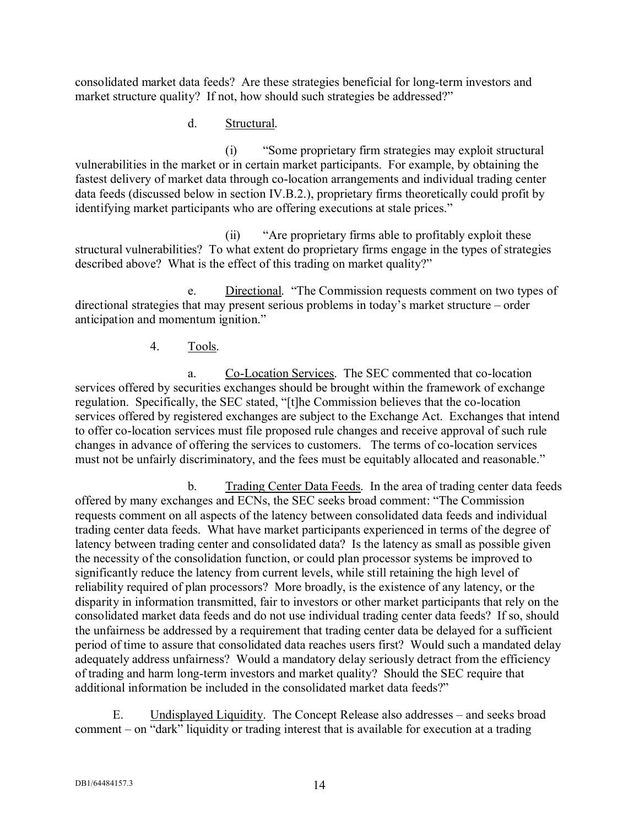consolidated market data feeds? Are these strategies beneficial for long-term investors and market structure quality? If not, how should such strategies be addressed?"

### d. Structural.

(i) "Some proprietary firm strategies may exploit structural vulnerabilities in the market or in certain market participants. For example, by obtaining the fastest delivery of market data through co-location arrangements and individual trading center data feeds (discussed below in section IV.B.2.), proprietary firms theoretically could profit by identifying market participants who are offering executions at stale prices."

(ii) "Are proprietary firms able to profitably exploit these structural vulnerabilities? To what extent do proprietary firms engage in the types of strategies described above? What is the effect of this trading on market quality?"

e. Directional. "The Commission requests comment on two types of directional strategies that may present serious problems in today's market structure – order anticipation and momentum ignition."

#### 4. Tools.

a. Co-Location Services. The SEC commented that co-location services offered by securities exchanges should be brought within the framework of exchange regulation. Specifically, the SEC stated, "[t]he Commission believes that the co-location services offered by registered exchanges are subject to the Exchange Act. Exchanges that intend to offer co-location services must file proposed rule changes and receive approval of such rule changes in advance of offering the services to customers. The terms of co-location services must not be unfairly discriminatory, and the fees must be equitably allocated and reasonable."

b. Trading Center Data Feeds. In the area of trading center data feeds offered by many exchanges and ECNs, the SEC seeks broad comment: "The Commission requests comment on all aspects of the latency between consolidated data feeds and individual trading center data feeds. What have market participants experienced in terms of the degree of latency between trading center and consolidated data? Is the latency as small as possible given the necessity of the consolidation function, or could plan processor systems be improved to significantly reduce the latency from current levels, while still retaining the high level of reliability required of plan processors? More broadly, is the existence of any latency, or the disparity in information transmitted, fair to investors or other market participants that rely on the consolidated market data feeds and do not use individual trading center data feeds? If so, should the unfairness be addressed by a requirement that trading center data be delayed for a sufficient period of time to assure that consolidated data reaches users first? Would such a mandated delay adequately address unfairness? Would a mandatory delay seriously detract from the efficiency of trading and harm long-term investors and market quality? Should the SEC require that additional information be included in the consolidated market data feeds?"

E. Undisplayed Liquidity. The Concept Release also addresses – and seeks broad comment – on "dark" liquidity or trading interest that is available for execution at a trading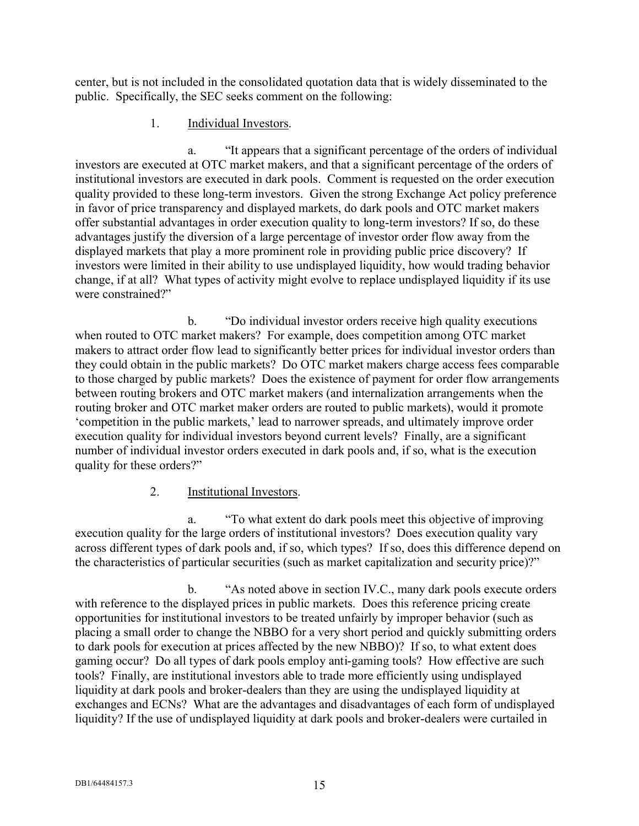center, but is not included in the consolidated quotation data that is widely disseminated to the public. Specifically, the SEC seeks comment on the following:

## 1. Individual Investors.

a. "It appears that a significant percentage of the orders of individual investors are executed at OTC market makers, and that a significant percentage of the orders of institutional investors are executed in dark pools. Comment is requested on the order execution quality provided to these long-term investors. Given the strong Exchange Act policy preference in favor of price transparency and displayed markets, do dark pools and OTC market makers offer substantial advantages in order execution quality to long-term investors? If so, do these advantages justify the diversion of a large percentage of investor order flow away from the displayed markets that play a more prominent role in providing public price discovery? If investors were limited in their ability to use undisplayed liquidity, how would trading behavior change, if at all? What types of activity might evolve to replace undisplayed liquidity if its use were constrained?"

b. "Do individual investor orders receive high quality executions when routed to OTC market makers? For example, does competition among OTC market makers to attract order flow lead to significantly better prices for individual investor orders than they could obtain in the public markets? Do OTC market makers charge access fees comparable to those charged by public markets? Does the existence of payment for order flow arrangements between routing brokers and OTC market makers (and internalization arrangements when the routing broker and OTC market maker orders are routed to public markets), would it promote 'competition in the public markets,' lead to narrower spreads, and ultimately improve order execution quality for individual investors beyond current levels? Finally, are a significant number of individual investor orders executed in dark pools and, if so, what is the execution quality for these orders?"

## 2. Institutional Investors.

a. "To what extent do dark pools meet this objective of improving execution quality for the large orders of institutional investors? Does execution quality vary across different types of dark pools and, if so, which types? If so, does this difference depend on the characteristics of particular securities (such as market capitalization and security price)?"

b. "As noted above in section IV.C., many dark pools execute orders with reference to the displayed prices in public markets. Does this reference pricing create opportunities for institutional investors to be treated unfairly by improper behavior (such as placing a small order to change the NBBO for a very short period and quickly submitting orders to dark pools for execution at prices affected by the new NBBO)? If so, to what extent does gaming occur? Do all types of dark pools employ anti-gaming tools? How effective are such tools? Finally, are institutional investors able to trade more efficiently using undisplayed liquidity at dark pools and broker-dealers than they are using the undisplayed liquidity at exchanges and ECNs? What are the advantages and disadvantages of each form of undisplayed liquidity? If the use of undisplayed liquidity at dark pools and broker-dealers were curtailed in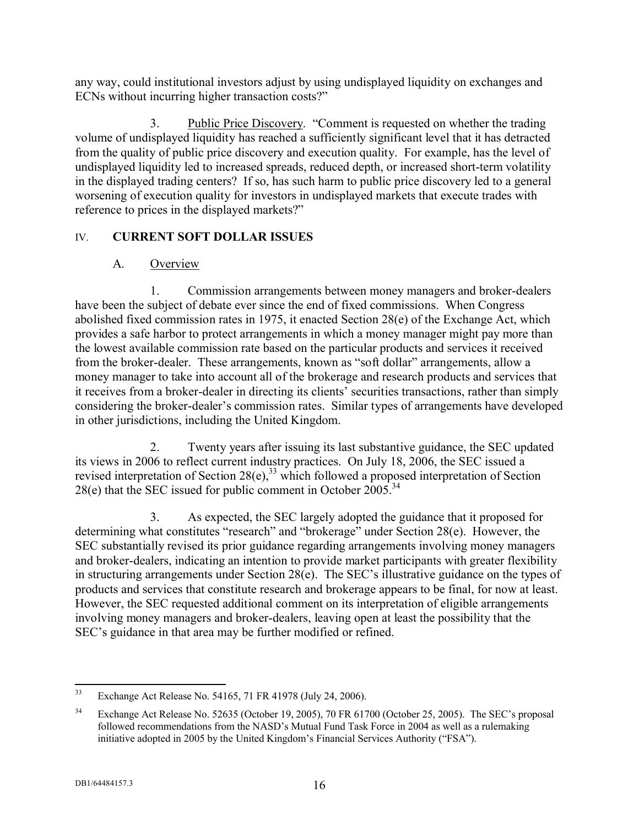any way, could institutional investors adjust by using undisplayed liquidity on exchanges and ECNs without incurring higher transaction costs?"

3. Public Price Discovery. "Comment is requested on whether the trading volume of undisplayed liquidity has reached a sufficiently significant level that it has detracted from the quality of public price discovery and execution quality. For example, has the level of undisplayed liquidity led to increased spreads, reduced depth, or increased short-term volatility in the displayed trading centers? If so, has such harm to public price discovery led to a general worsening of execution quality for investors in undisplayed markets that execute trades with reference to prices in the displayed markets?"

## IV. **CURRENT SOFT DOLLAR ISSUES**

## A. Overview

1. Commission arrangements between money managers and broker-dealers have been the subject of debate ever since the end of fixed commissions. When Congress abolished fixed commission rates in 1975, it enacted Section 28(e) of the Exchange Act, which provides a safe harbor to protect arrangements in which a money manager might pay more than the lowest available commission rate based on the particular products and services it received from the broker-dealer. These arrangements, known as "soft dollar" arrangements, allow a money manager to take into account all of the brokerage and research products and services that it receives from a broker-dealer in directing its clients' securities transactions, rather than simply considering the broker-dealer's commission rates. Similar types of arrangements have developed in other jurisdictions, including the United Kingdom.

2. Twenty years after issuing its last substantive guidance, the SEC updated its views in 2006 to reflect current industry practices. On July 18, 2006, the SEC issued a revised interpretation of Section  $28(e)$ ,<sup>33</sup> which followed a proposed interpretation of Section 28(e) that the SEC issued for public comment in October  $2005^{34}$ 

3. As expected, the SEC largely adopted the guidance that it proposed for determining what constitutes "research" and "brokerage" under Section 28(e). However, the SEC substantially revised its prior guidance regarding arrangements involving money managers and broker-dealers, indicating an intention to provide market participants with greater flexibility in structuring arrangements under Section 28(e). The SEC's illustrative guidance on the types of products and services that constitute research and brokerage appears to be final, for now at least. However, the SEC requested additional comment on its interpretation of eligible arrangements involving money managers and broker-dealers, leaving open at least the possibility that the SEC's guidance in that area may be further modified or refined.

 $33$ Exchange Act Release No. 54165, 71 FR 41978 (July 24, 2006).

<sup>&</sup>lt;sup>34</sup> Exchange Act Release No. 52635 (October 19, 2005), 70 FR 61700 (October 25, 2005). The SEC's proposal followed recommendations from the NASD's Mutual Fund Task Force in 2004 as well as a rulemaking initiative adopted in 2005 by the United Kingdom's Financial Services Authority ("FSA").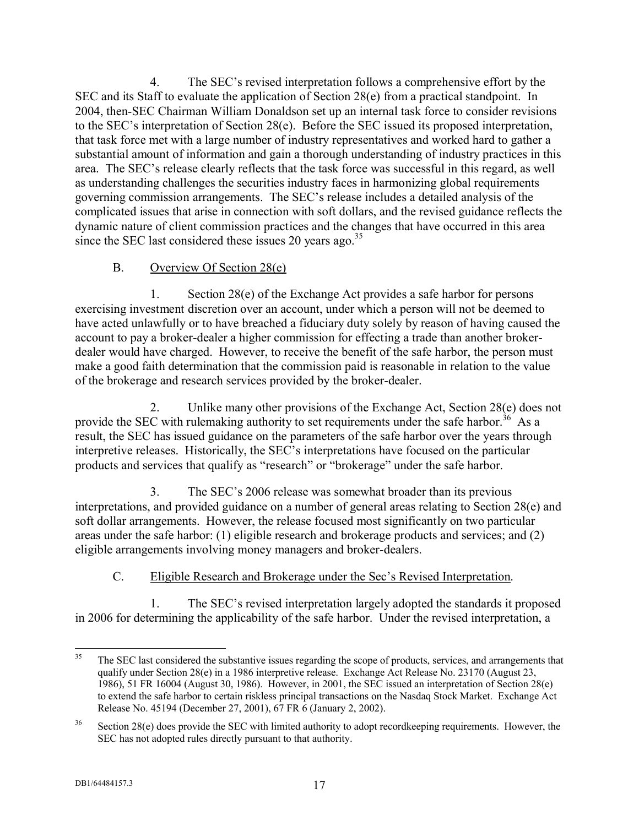4. The SEC's revised interpretation follows a comprehensive effort by the SEC and its Staff to evaluate the application of Section 28(e) from a practical standpoint. In 2004, then-SEC Chairman William Donaldson set up an internal task force to consider revisions to the SEC's interpretation of Section 28(e). Before the SEC issued its proposed interpretation, that task force met with a large number of industry representatives and worked hard to gather a substantial amount of information and gain a thorough understanding of industry practices in this area. The SEC's release clearly reflects that the task force was successful in this regard, as well as understanding challenges the securities industry faces in harmonizing global requirements governing commission arrangements. The SEC's release includes a detailed analysis of the complicated issues that arise in connection with soft dollars, and the revised guidance reflects the dynamic nature of client commission practices and the changes that have occurred in this area since the SEC last considered these issues 20 years ago.<sup>35</sup>

## B. Overview Of Section 28(e)

1. Section 28(e) of the Exchange Act provides a safe harbor for persons exercising investment discretion over an account, under which a person will not be deemed to have acted unlawfully or to have breached a fiduciary duty solely by reason of having caused the account to pay a broker-dealer a higher commission for effecting a trade than another brokerdealer would have charged. However, to receive the benefit of the safe harbor, the person must make a good faith determination that the commission paid is reasonable in relation to the value of the brokerage and research services provided by the broker-dealer.

2. Unlike many other provisions of the Exchange Act, Section 28(e) does not provide the SEC with rulemaking authority to set requirements under the safe harbor.<sup>36</sup> As a result, the SEC has issued guidance on the parameters of the safe harbor over the years through interpretive releases. Historically, the SEC's interpretations have focused on the particular products and services that qualify as "research" or "brokerage" under the safe harbor.

3. The SEC's 2006 release was somewhat broader than its previous interpretations, and provided guidance on a number of general areas relating to Section 28(e) and soft dollar arrangements. However, the release focused most significantly on two particular areas under the safe harbor: (1) eligible research and brokerage products and services; and (2) eligible arrangements involving money managers and broker-dealers.

## C. Eligible Research and Brokerage under the Sec's Revised Interpretation.

1. The SEC's revised interpretation largely adopted the standards it proposed in 2006 for determining the applicability of the safe harbor. Under the revised interpretation, a

 $35$ <sup>35</sup> The SEC last considered the substantive issues regarding the scope of products, services, and arrangements that qualify under Section 28(e) in a 1986 interpretive release. Exchange Act Release No. 23170 (August 23, 1986), 51 FR 16004 (August 30, 1986). However, in 2001, the SEC issued an interpretation of Section 28(e) to extend the safe harbor to certain riskless principal transactions on the Nasdaq Stock Market. Exchange Act Release No. 45194 (December 27, 2001), 67 FR 6 (January 2, 2002).

<sup>&</sup>lt;sup>36</sup> Section 28(e) does provide the SEC with limited authority to adopt recordkeeping requirements. However, the SEC has not adopted rules directly pursuant to that authority.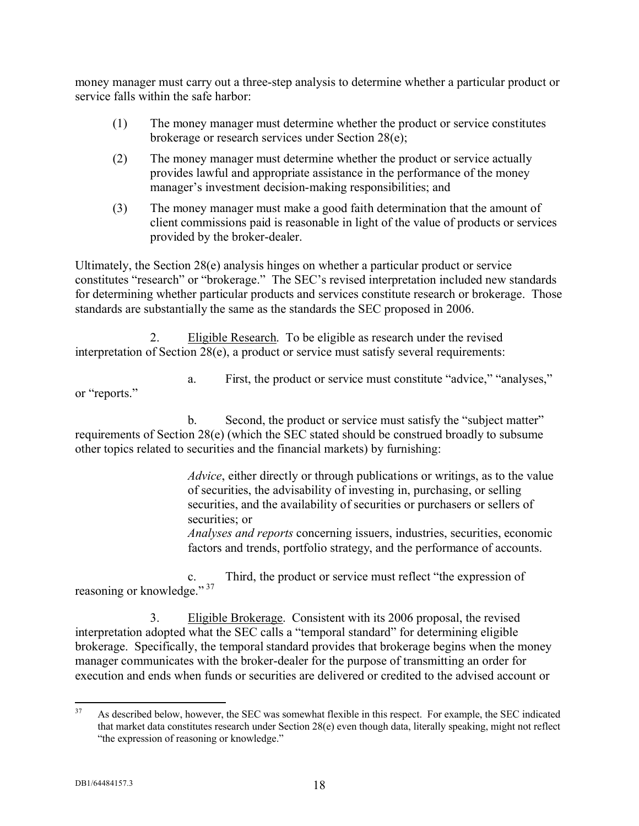money manager must carry out a three-step analysis to determine whether a particular product or service falls within the safe harbor:

- (1) The money manager must determine whether the product or service constitutes brokerage or research services under Section 28(e);
- (2) The money manager must determine whether the product or service actually provides lawful and appropriate assistance in the performance of the money manager's investment decision-making responsibilities; and
- (3) The money manager must make a good faith determination that the amount of client commissions paid is reasonable in light of the value of products or services provided by the broker-dealer.

Ultimately, the Section 28(e) analysis hinges on whether a particular product or service constitutes "research" or "brokerage." The SEC's revised interpretation included new standards for determining whether particular products and services constitute research or brokerage. Those standards are substantially the same as the standards the SEC proposed in 2006.

2. Eligible Research. To be eligible as research under the revised interpretation of Section 28(e), a product or service must satisfy several requirements:

a. First, the product or service must constitute "advice," "analyses," or "reports."

b. Second, the product or service must satisfy the "subject matter" requirements of Section 28(e) (which the SEC stated should be construed broadly to subsume other topics related to securities and the financial markets) by furnishing:

> *Advice*, either directly or through publications or writings, as to the value of securities, the advisability of investing in, purchasing, or selling securities, and the availability of securities or purchasers or sellers of securities; or

> *Analyses and reports* concerning issuers, industries, securities, economic factors and trends, portfolio strategy, and the performance of accounts.

c. Third, the product or service must reflect "the expression of reasoning or knowledge." 37

3. Eligible Brokerage. Consistent with its 2006 proposal, the revised interpretation adopted what the SEC calls a "temporal standard" for determining eligible brokerage. Specifically, the temporal standard provides that brokerage begins when the money manager communicates with the broker-dealer for the purpose of transmitting an order for execution and ends when funds or securities are delivered or credited to the advised account or

<sup>37</sup> As described below, however, the SEC was somewhat flexible in this respect. For example, the SEC indicated that market data constitutes research under Section 28(e) even though data, literally speaking, might not reflect "the expression of reasoning or knowledge."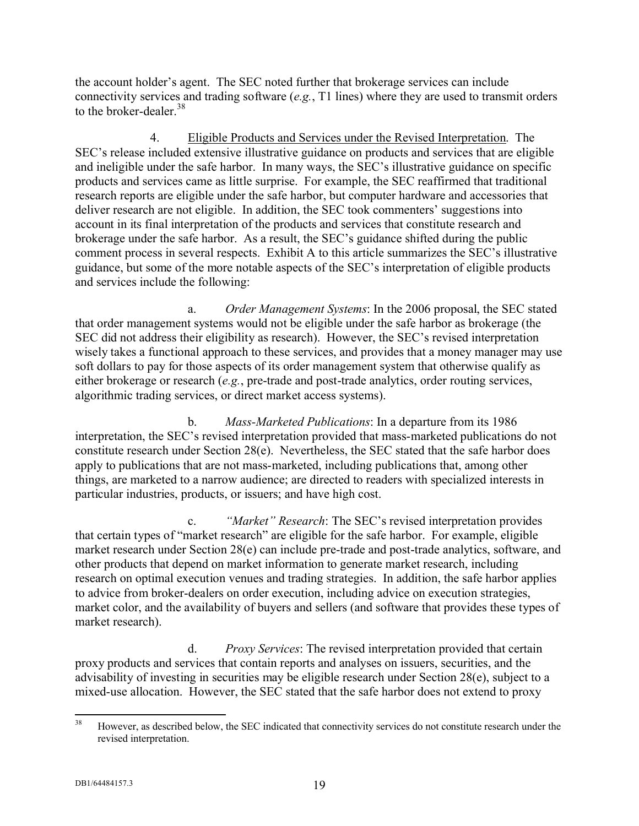the account holder's agent. The SEC noted further that brokerage services can include connectivity services and trading software (*e.g.*, T1 lines) where they are used to transmit orders to the broker-dealer.<sup>38</sup>

4. Eligible Products and Services under the Revised Interpretation. The SEC's release included extensive illustrative guidance on products and services that are eligible and ineligible under the safe harbor. In many ways, the SEC's illustrative guidance on specific products and services came as little surprise. For example, the SEC reaffirmed that traditional research reports are eligible under the safe harbor, but computer hardware and accessories that deliver research are not eligible. In addition, the SEC took commenters' suggestions into account in its final interpretation of the products and services that constitute research and brokerage under the safe harbor. As a result, the SEC's guidance shifted during the public comment process in several respects. Exhibit A to this article summarizes the SEC's illustrative guidance, but some of the more notable aspects of the SEC's interpretation of eligible products and services include the following:

a. *Order Management Systems*: In the 2006 proposal, the SEC stated that order management systems would not be eligible under the safe harbor as brokerage (the SEC did not address their eligibility as research). However, the SEC's revised interpretation wisely takes a functional approach to these services, and provides that a money manager may use soft dollars to pay for those aspects of its order management system that otherwise qualify as either brokerage or research (*e.g.*, pre-trade and post-trade analytics, order routing services, algorithmic trading services, or direct market access systems).

b. *Mass-Marketed Publications*: In a departure from its 1986 interpretation, the SEC's revised interpretation provided that mass-marketed publications do not constitute research under Section 28(e). Nevertheless, the SEC stated that the safe harbor does apply to publications that are not mass-marketed, including publications that, among other things, are marketed to a narrow audience; are directed to readers with specialized interests in particular industries, products, or issuers; and have high cost.

c. *"Market" Research*: The SEC's revised interpretation provides that certain types of "market research" are eligible for the safe harbor. For example, eligible market research under Section 28(e) can include pre-trade and post-trade analytics, software, and other products that depend on market information to generate market research, including research on optimal execution venues and trading strategies. In addition, the safe harbor applies to advice from broker-dealers on order execution, including advice on execution strategies, market color, and the availability of buyers and sellers (and software that provides these types of market research).

d. *Proxy Services*: The revised interpretation provided that certain proxy products and services that contain reports and analyses on issuers, securities, and the advisability of investing in securities may be eligible research under Section 28(e), subject to a mixed-use allocation. However, the SEC stated that the safe harbor does not extend to proxy

 $38$ <sup>38</sup> However, as described below, the SEC indicated that connectivity services do not constitute research under the revised interpretation.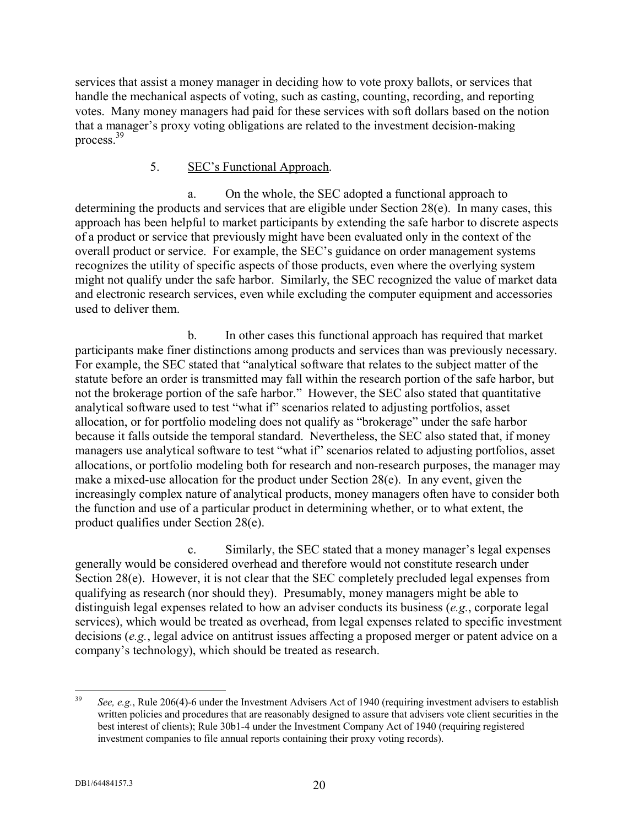services that assist a money manager in deciding how to vote proxy ballots, or services that handle the mechanical aspects of voting, such as casting, counting, recording, and reporting votes. Many money managers had paid for these services with soft dollars based on the notion that a manager's proxy voting obligations are related to the investment decision-making process.<sup>39</sup>

#### 5. SEC's Functional Approach.

a. On the whole, the SEC adopted a functional approach to determining the products and services that are eligible under Section 28(e). In many cases, this approach has been helpful to market participants by extending the safe harbor to discrete aspects of a product or service that previously might have been evaluated only in the context of the overall product or service. For example, the SEC's guidance on order management systems recognizes the utility of specific aspects of those products, even where the overlying system might not qualify under the safe harbor. Similarly, the SEC recognized the value of market data and electronic research services, even while excluding the computer equipment and accessories used to deliver them.

b. In other cases this functional approach has required that market participants make finer distinctions among products and services than was previously necessary. For example, the SEC stated that "analytical software that relates to the subject matter of the statute before an order is transmitted may fall within the research portion of the safe harbor, but not the brokerage portion of the safe harbor." However, the SEC also stated that quantitative analytical software used to test "what if" scenarios related to adjusting portfolios, asset allocation, or for portfolio modeling does not qualify as "brokerage" under the safe harbor because it falls outside the temporal standard. Nevertheless, the SEC also stated that, if money managers use analytical software to test "what if" scenarios related to adjusting portfolios, asset allocations, or portfolio modeling both for research and non-research purposes, the manager may make a mixed-use allocation for the product under Section 28(e). In any event, given the increasingly complex nature of analytical products, money managers often have to consider both the function and use of a particular product in determining whether, or to what extent, the product qualifies under Section 28(e).

c. Similarly, the SEC stated that a money manager's legal expenses generally would be considered overhead and therefore would not constitute research under Section 28(e). However, it is not clear that the SEC completely precluded legal expenses from qualifying as research (nor should they). Presumably, money managers might be able to distinguish legal expenses related to how an adviser conducts its business (*e.g.*, corporate legal services), which would be treated as overhead, from legal expenses related to specific investment decisions (*e.g.*, legal advice on antitrust issues affecting a proposed merger or patent advice on a company's technology), which should be treated as research.

<sup>39</sup> <sup>39</sup> *See, e.g.*, Rule 206(4)-6 under the Investment Advisers Act of 1940 (requiring investment advisers to establish written policies and procedures that are reasonably designed to assure that advisers vote client securities in the best interest of clients); Rule 30b1-4 under the Investment Company Act of 1940 (requiring registered investment companies to file annual reports containing their proxy voting records).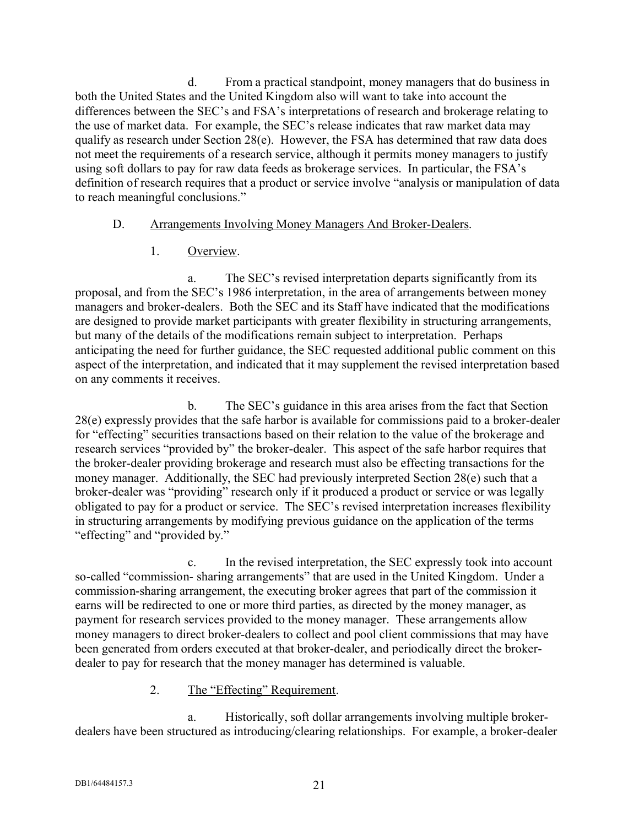d. From a practical standpoint, money managers that do business in both the United States and the United Kingdom also will want to take into account the differences between the SEC's and FSA's interpretations of research and brokerage relating to the use of market data. For example, the SEC's release indicates that raw market data may qualify as research under Section 28(e). However, the FSA has determined that raw data does not meet the requirements of a research service, although it permits money managers to justify using soft dollars to pay for raw data feeds as brokerage services. In particular, the FSA's definition of research requires that a product or service involve "analysis or manipulation of data to reach meaningful conclusions."

#### D. Arrangements Involving Money Managers And Broker-Dealers.

1. Overview.

a. The SEC's revised interpretation departs significantly from its proposal, and from the SEC's 1986 interpretation, in the area of arrangements between money managers and broker-dealers. Both the SEC and its Staff have indicated that the modifications are designed to provide market participants with greater flexibility in structuring arrangements, but many of the details of the modifications remain subject to interpretation. Perhaps anticipating the need for further guidance, the SEC requested additional public comment on this aspect of the interpretation, and indicated that it may supplement the revised interpretation based on any comments it receives.

b. The SEC's guidance in this area arises from the fact that Section 28(e) expressly provides that the safe harbor is available for commissions paid to a broker-dealer for "effecting" securities transactions based on their relation to the value of the brokerage and research services "provided by" the broker-dealer. This aspect of the safe harbor requires that the broker-dealer providing brokerage and research must also be effecting transactions for the money manager. Additionally, the SEC had previously interpreted Section 28(e) such that a broker-dealer was "providing" research only if it produced a product or service or was legally obligated to pay for a product or service. The SEC's revised interpretation increases flexibility in structuring arrangements by modifying previous guidance on the application of the terms "effecting" and "provided by."

c. In the revised interpretation, the SEC expressly took into account so-called "commission- sharing arrangements" that are used in the United Kingdom. Under a commission-sharing arrangement, the executing broker agrees that part of the commission it earns will be redirected to one or more third parties, as directed by the money manager, as payment for research services provided to the money manager. These arrangements allow money managers to direct broker-dealers to collect and pool client commissions that may have been generated from orders executed at that broker-dealer, and periodically direct the brokerdealer to pay for research that the money manager has determined is valuable.

#### 2. The "Effecting" Requirement.

a. Historically, soft dollar arrangements involving multiple brokerdealers have been structured as introducing/clearing relationships. For example, a broker-dealer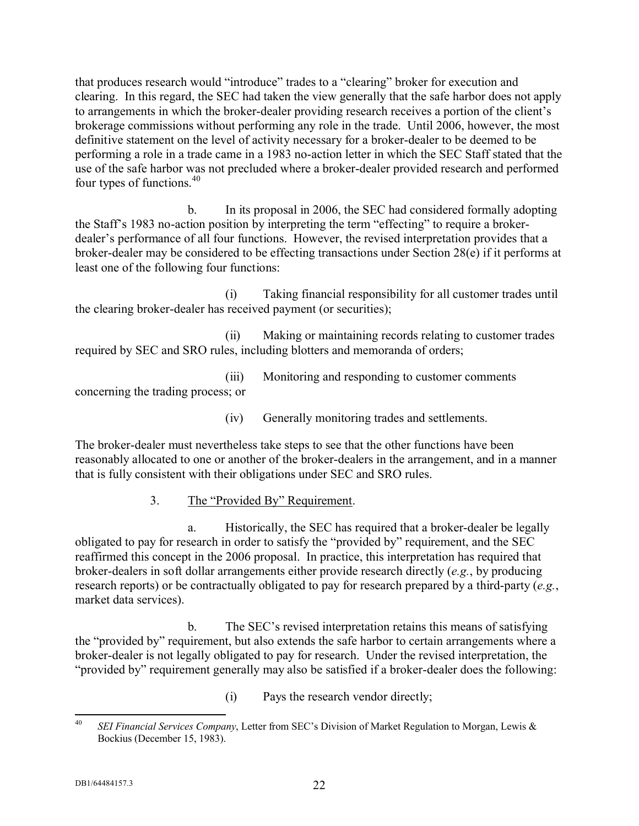that produces research would "introduce" trades to a "clearing" broker for execution and clearing. In this regard, the SEC had taken the view generally that the safe harbor does not apply to arrangements in which the broker-dealer providing research receives a portion of the client's brokerage commissions without performing any role in the trade. Until 2006, however, the most definitive statement on the level of activity necessary for a broker-dealer to be deemed to be performing a role in a trade came in a 1983 no-action letter in which the SEC Staff stated that the use of the safe harbor was not precluded where a broker-dealer provided research and performed four types of functions.<sup>40</sup>

b. In its proposal in 2006, the SEC had considered formally adopting the Staff's 1983 no-action position by interpreting the term "effecting" to require a brokerdealer's performance of all four functions. However, the revised interpretation provides that a broker-dealer may be considered to be effecting transactions under Section 28(e) if it performs at least one of the following four functions:

(i) Taking financial responsibility for all customer trades until the clearing broker-dealer has received payment (or securities);

(ii) Making or maintaining records relating to customer trades required by SEC and SRO rules, including blotters and memoranda of orders;

(iii) Monitoring and responding to customer comments concerning the trading process; or

(iv) Generally monitoring trades and settlements.

The broker-dealer must nevertheless take steps to see that the other functions have been reasonably allocated to one or another of the broker-dealers in the arrangement, and in a manner that is fully consistent with their obligations under SEC and SRO rules.

3. The "Provided By" Requirement.

a. Historically, the SEC has required that a broker-dealer be legally obligated to pay for research in order to satisfy the "provided by" requirement, and the SEC reaffirmed this concept in the 2006 proposal. In practice, this interpretation has required that broker-dealers in soft dollar arrangements either provide research directly (*e.g.*, by producing research reports) or be contractually obligated to pay for research prepared by a third-party (*e.g.*, market data services).

b. The SEC's revised interpretation retains this means of satisfying the "provided by" requirement, but also extends the safe harbor to certain arrangements where a broker-dealer is not legally obligated to pay for research. Under the revised interpretation, the "provided by" requirement generally may also be satisfied if a broker-dealer does the following:

(i) Pays the research vendor directly;

 $40 \overline{)}$ <sup>40</sup> *SEI Financial Services Company*, Letter from SEC's Division of Market Regulation to Morgan, Lewis & Bockius (December 15, 1983).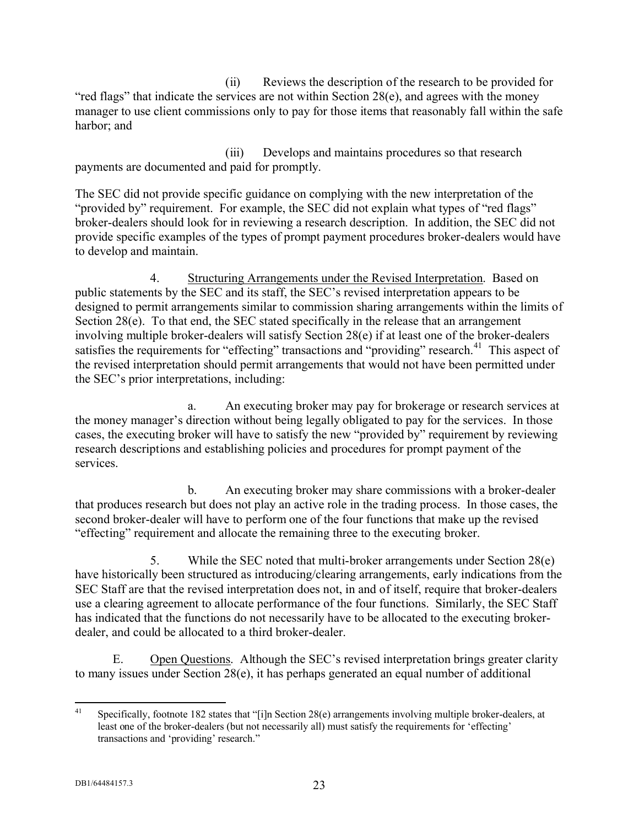(ii) Reviews the description of the research to be provided for "red flags" that indicate the services are not within Section 28(e), and agrees with the money manager to use client commissions only to pay for those items that reasonably fall within the safe harbor; and

(iii) Develops and maintains procedures so that research payments are documented and paid for promptly.

The SEC did not provide specific guidance on complying with the new interpretation of the "provided by" requirement. For example, the SEC did not explain what types of "red flags" broker-dealers should look for in reviewing a research description. In addition, the SEC did not provide specific examples of the types of prompt payment procedures broker-dealers would have to develop and maintain.

4. Structuring Arrangements under the Revised Interpretation. Based on public statements by the SEC and its staff, the SEC's revised interpretation appears to be designed to permit arrangements similar to commission sharing arrangements within the limits of Section 28(e). To that end, the SEC stated specifically in the release that an arrangement involving multiple broker-dealers will satisfy Section 28(e) if at least one of the broker-dealers satisfies the requirements for "effecting" transactions and "providing" research.<sup>41</sup> This aspect of the revised interpretation should permit arrangements that would not have been permitted under the SEC's prior interpretations, including:

a. An executing broker may pay for brokerage or research services at the money manager's direction without being legally obligated to pay for the services. In those cases, the executing broker will have to satisfy the new "provided by" requirement by reviewing research descriptions and establishing policies and procedures for prompt payment of the services.

b. An executing broker may share commissions with a broker-dealer that produces research but does not play an active role in the trading process. In those cases, the second broker-dealer will have to perform one of the four functions that make up the revised "effecting" requirement and allocate the remaining three to the executing broker.

5. While the SEC noted that multi-broker arrangements under Section 28(e) have historically been structured as introducing/clearing arrangements, early indications from the SEC Staff are that the revised interpretation does not, in and of itself, require that broker-dealers use a clearing agreement to allocate performance of the four functions. Similarly, the SEC Staff has indicated that the functions do not necessarily have to be allocated to the executing brokerdealer, and could be allocated to a third broker-dealer.

E. Open Questions. Although the SEC's revised interpretation brings greater clarity to many issues under Section 28(e), it has perhaps generated an equal number of additional

 $41$ Specifically, footnote 182 states that "[i]n Section 28(e) arrangements involving multiple broker-dealers, at least one of the broker-dealers (but not necessarily all) must satisfy the requirements for 'effecting' transactions and 'providing' research."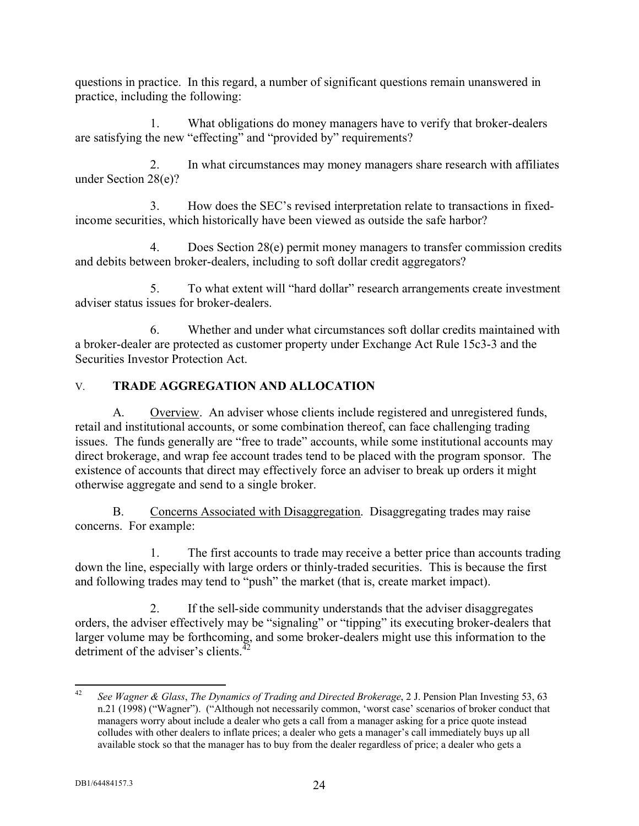questions in practice. In this regard, a number of significant questions remain unanswered in practice, including the following:

1. What obligations do money managers have to verify that broker-dealers are satisfying the new "effecting" and "provided by" requirements?

2. In what circumstances may money managers share research with affiliates under Section 28(e)?

3. How does the SEC's revised interpretation relate to transactions in fixedincome securities, which historically have been viewed as outside the safe harbor?

4. Does Section 28(e) permit money managers to transfer commission credits and debits between broker-dealers, including to soft dollar credit aggregators?

5. To what extent will "hard dollar" research arrangements create investment adviser status issues for broker-dealers.

6. Whether and under what circumstances soft dollar credits maintained with a broker-dealer are protected as customer property under Exchange Act Rule 15c3-3 and the Securities Investor Protection Act.

## V. **TRADE AGGREGATION AND ALLOCATION**

A. Overview. An adviser whose clients include registered and unregistered funds, retail and institutional accounts, or some combination thereof, can face challenging trading issues. The funds generally are "free to trade" accounts, while some institutional accounts may direct brokerage, and wrap fee account trades tend to be placed with the program sponsor. The existence of accounts that direct may effectively force an adviser to break up orders it might otherwise aggregate and send to a single broker.

B. Concerns Associated with Disaggregation. Disaggregating trades may raise concerns. For example:

1. The first accounts to trade may receive a better price than accounts trading down the line, especially with large orders or thinly-traded securities. This is because the first and following trades may tend to "push" the market (that is, create market impact).

2. If the sell-side community understands that the adviser disaggregates orders, the adviser effectively may be "signaling" or "tipping" its executing broker-dealers that larger volume may be forthcoming, and some broker-dealers might use this information to the detriment of the adviser's clients. $4$ 

 $42$ <sup>42</sup> *See Wagner & Glass*, *The Dynamics of Trading and Directed Brokerage*, 2 J. Pension Plan Investing 53, 63 n.21 (1998) ("Wagner"). ("Although not necessarily common, 'worst case' scenarios of broker conduct that managers worry about include a dealer who gets a call from a manager asking for a price quote instead colludes with other dealers to inflate prices; a dealer who gets a manager's call immediately buys up all available stock so that the manager has to buy from the dealer regardless of price; a dealer who gets a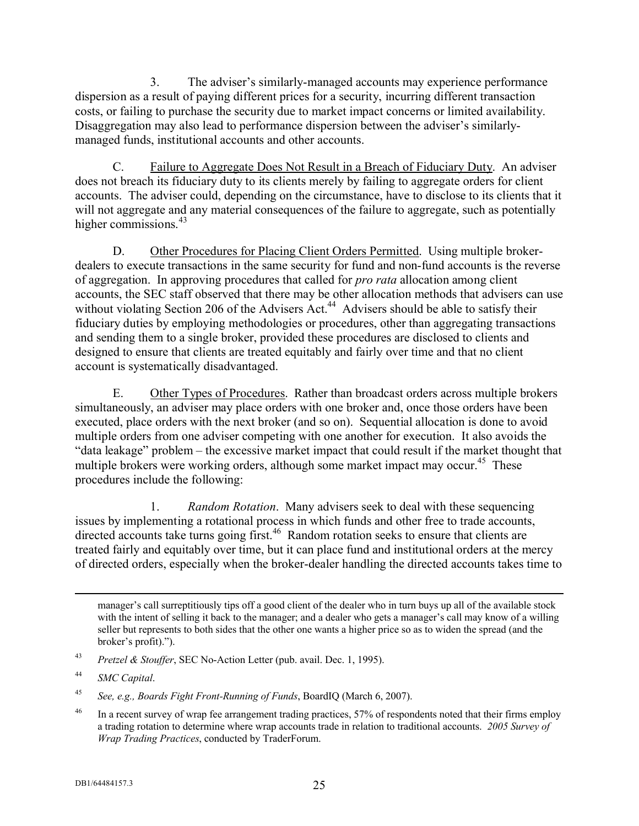3. The adviser's similarly-managed accounts may experience performance dispersion as a result of paying different prices for a security, incurring different transaction costs, or failing to purchase the security due to market impact concerns or limited availability. Disaggregation may also lead to performance dispersion between the adviser's similarlymanaged funds, institutional accounts and other accounts.

C. Failure to Aggregate Does Not Result in a Breach of Fiduciary Duty. An adviser does not breach its fiduciary duty to its clients merely by failing to aggregate orders for client accounts. The adviser could, depending on the circumstance, have to disclose to its clients that it will not aggregate and any material consequences of the failure to aggregate, such as potentially higher commissions. $43$ 

D. Other Procedures for Placing Client Orders Permitted. Using multiple brokerdealers to execute transactions in the same security for fund and non-fund accounts is the reverse of aggregation. In approving procedures that called for *pro rata* allocation among client accounts, the SEC staff observed that there may be other allocation methods that advisers can use without violating Section 206 of the Advisers Act.<sup>44</sup> Advisers should be able to satisfy their fiduciary duties by employing methodologies or procedures, other than aggregating transactions and sending them to a single broker, provided these procedures are disclosed to clients and designed to ensure that clients are treated equitably and fairly over time and that no client account is systematically disadvantaged.

E. Other Types of Procedures. Rather than broadcast orders across multiple brokers simultaneously, an adviser may place orders with one broker and, once those orders have been executed, place orders with the next broker (and so on). Sequential allocation is done to avoid multiple orders from one adviser competing with one another for execution. It also avoids the "data leakage" problem – the excessive market impact that could result if the market thought that multiple brokers were working orders, although some market impact may occur.<sup>45</sup> These procedures include the following:

1. *Random Rotation*. Many advisers seek to deal with these sequencing issues by implementing a rotational process in which funds and other free to trade accounts, directed accounts take turns going first.<sup>46</sup> Random rotation seeks to ensure that clients are treated fairly and equitably over time, but it can place fund and institutional orders at the mercy of directed orders, especially when the broker-dealer handling the directed accounts takes time to

manager's call surreptitiously tips off a good client of the dealer who in turn buys up all of the available stock with the intent of selling it back to the manager; and a dealer who gets a manager's call may know of a willing seller but represents to both sides that the other one wants a higher price so as to widen the spread (and the broker's profit).").

 $\overline{a}$ 

<sup>43</sup> *Pretzel & Stouffer*, SEC No-Action Letter (pub. avail. Dec. 1, 1995).

<sup>44</sup> *SMC Capital*.

<sup>45</sup> *See, e.g., Boards Fight Front-Running of Funds*, BoardIQ (March 6, 2007).

<sup>&</sup>lt;sup>46</sup> In a recent survey of wrap fee arrangement trading practices, 57% of respondents noted that their firms employ a trading rotation to determine where wrap accounts trade in relation to traditional accounts. *2005 Survey of Wrap Trading Practices*, conducted by TraderForum.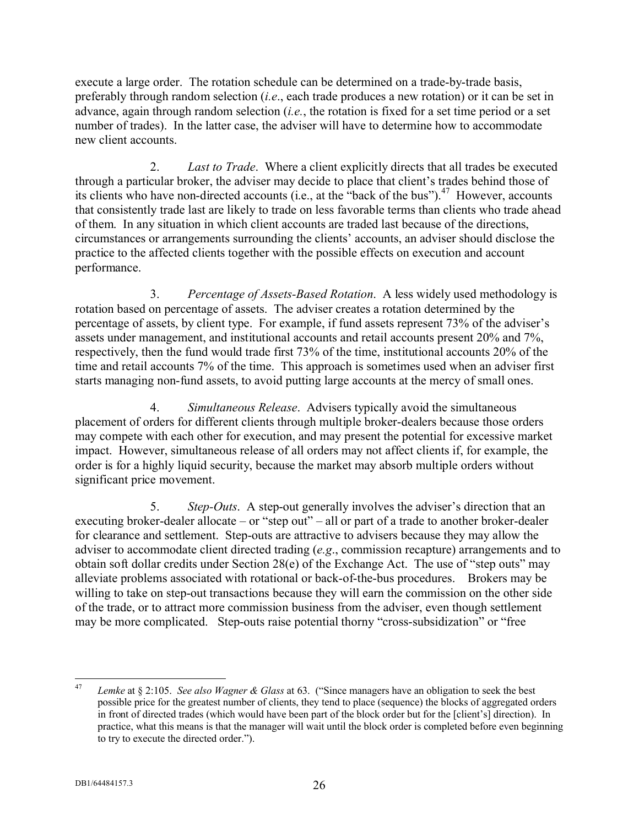execute a large order. The rotation schedule can be determined on a trade-by-trade basis, preferably through random selection (*i.e*., each trade produces a new rotation) or it can be set in advance, again through random selection (*i.e.*, the rotation is fixed for a set time period or a set number of trades). In the latter case, the adviser will have to determine how to accommodate new client accounts.

2. *Last to Trade*. Where a client explicitly directs that all trades be executed through a particular broker, the adviser may decide to place that client's trades behind those of its clients who have non-directed accounts (i.e., at the "back of the bus").<sup>47</sup> However, accounts that consistently trade last are likely to trade on less favorable terms than clients who trade ahead of them. In any situation in which client accounts are traded last because of the directions, circumstances or arrangements surrounding the clients' accounts, an adviser should disclose the practice to the affected clients together with the possible effects on execution and account performance.

3. *Percentage of Assets-Based Rotation*. A less widely used methodology is rotation based on percentage of assets. The adviser creates a rotation determined by the percentage of assets, by client type. For example, if fund assets represent 73% of the adviser's assets under management, and institutional accounts and retail accounts present 20% and 7%, respectively, then the fund would trade first 73% of the time, institutional accounts 20% of the time and retail accounts 7% of the time. This approach is sometimes used when an adviser first starts managing non-fund assets, to avoid putting large accounts at the mercy of small ones.

4. *Simultaneous Release*. Advisers typically avoid the simultaneous placement of orders for different clients through multiple broker-dealers because those orders may compete with each other for execution, and may present the potential for excessive market impact. However, simultaneous release of all orders may not affect clients if, for example, the order is for a highly liquid security, because the market may absorb multiple orders without significant price movement.

5. *Step-Outs*. A step-out generally involves the adviser's direction that an executing broker-dealer allocate – or "step out" – all or part of a trade to another broker-dealer for clearance and settlement. Step-outs are attractive to advisers because they may allow the adviser to accommodate client directed trading (*e.g*., commission recapture) arrangements and to obtain soft dollar credits under Section 28(e) of the Exchange Act. The use of "step outs" may alleviate problems associated with rotational or back-of-the-bus procedures. Brokers may be willing to take on step-out transactions because they will earn the commission on the other side of the trade, or to attract more commission business from the adviser, even though settlement may be more complicated. Step-outs raise potential thorny "cross-subsidization" or "free

<sup>47</sup> <sup>47</sup> *Lemke* at § 2:105. *See also Wagner & Glass* at 63. ("Since managers have an obligation to seek the best possible price for the greatest number of clients, they tend to place (sequence) the blocks of aggregated orders in front of directed trades (which would have been part of the block order but for the [client's] direction). In practice, what this means is that the manager will wait until the block order is completed before even beginning to try to execute the directed order.").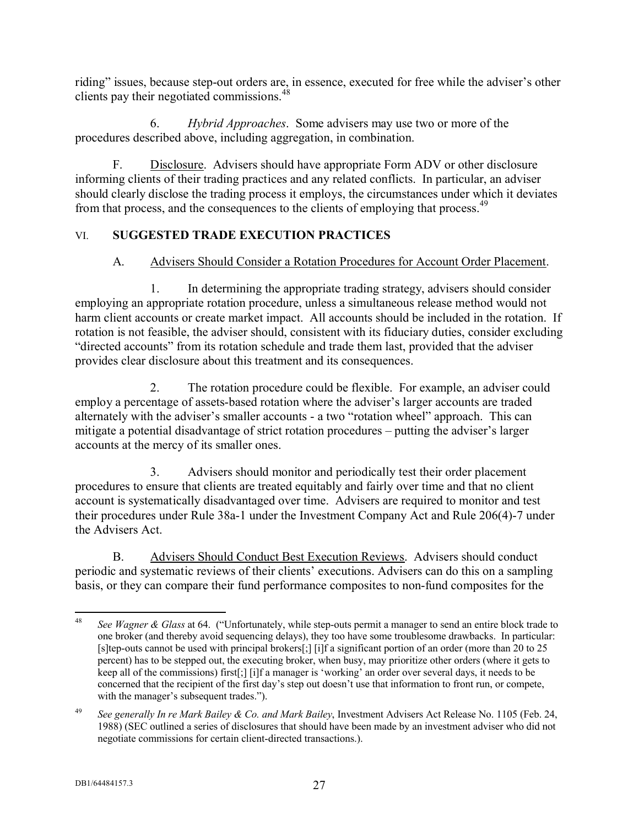riding" issues, because step-out orders are, in essence, executed for free while the adviser's other clients pay their negotiated commissions.<sup>48</sup>

6. *Hybrid Approaches*. Some advisers may use two or more of the procedures described above, including aggregation, in combination.

F. Disclosure. Advisers should have appropriate Form ADV or other disclosure informing clients of their trading practices and any related conflicts. In particular, an adviser should clearly disclose the trading process it employs, the circumstances under which it deviates from that process, and the consequences to the clients of employing that process.<sup>49</sup>

## VI. **SUGGESTED TRADE EXECUTION PRACTICES**

## A. Advisers Should Consider a Rotation Procedures for Account Order Placement.

1. In determining the appropriate trading strategy, advisers should consider employing an appropriate rotation procedure, unless a simultaneous release method would not harm client accounts or create market impact. All accounts should be included in the rotation. If rotation is not feasible, the adviser should, consistent with its fiduciary duties, consider excluding "directed accounts" from its rotation schedule and trade them last, provided that the adviser provides clear disclosure about this treatment and its consequences.

2. The rotation procedure could be flexible. For example, an adviser could employ a percentage of assets-based rotation where the adviser's larger accounts are traded alternately with the adviser's smaller accounts - a two "rotation wheel" approach. This can mitigate a potential disadvantage of strict rotation procedures – putting the adviser's larger accounts at the mercy of its smaller ones.

3. Advisers should monitor and periodically test their order placement procedures to ensure that clients are treated equitably and fairly over time and that no client account is systematically disadvantaged over time. Advisers are required to monitor and test their procedures under Rule 38a-1 under the Investment Company Act and Rule 206(4)-7 under the Advisers Act.

B. Advisers Should Conduct Best Execution Reviews. Advisers should conduct periodic and systematic reviews of their clients' executions. Advisers can do this on a sampling basis, or they can compare their fund performance composites to non-fund composites for the

 $48$ <sup>48</sup> *See Wagner & Glass* at 64. ("Unfortunately, while step-outs permit a manager to send an entire block trade to one broker (and thereby avoid sequencing delays), they too have some troublesome drawbacks. In particular: [s]tep-outs cannot be used with principal brokers[;] [i]f a significant portion of an order (more than 20 to 25 percent) has to be stepped out, the executing broker, when busy, may prioritize other orders (where it gets to keep all of the commissions) first[;] [i]f a manager is 'working' an order over several days, it needs to be concerned that the recipient of the first day's step out doesn't use that information to front run, or compete, with the manager's subsequent trades.").

<sup>49</sup> *See generally In re Mark Bailey & Co. and Mark Bailey*, Investment Advisers Act Release No. 1105 (Feb. 24, 1988) (SEC outlined a series of disclosures that should have been made by an investment adviser who did not negotiate commissions for certain client-directed transactions.).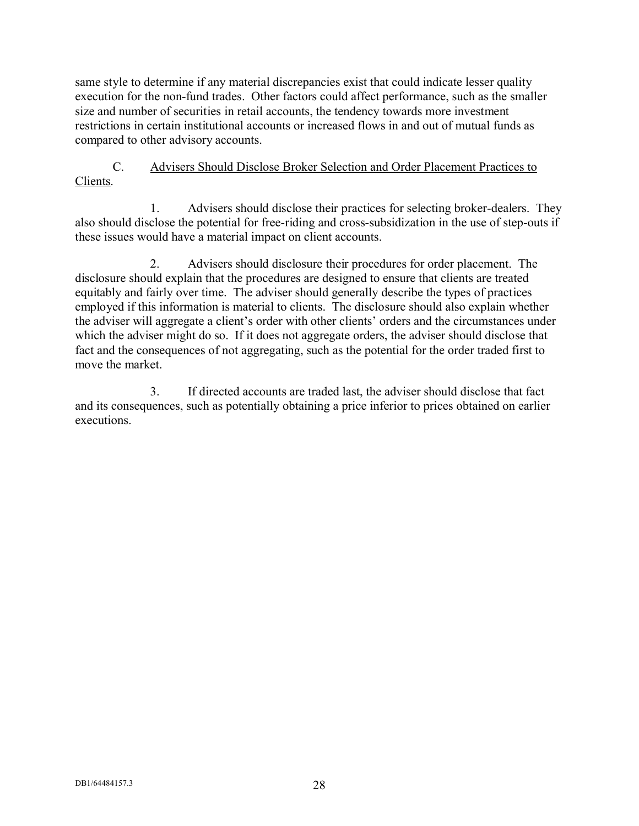same style to determine if any material discrepancies exist that could indicate lesser quality execution for the non-fund trades. Other factors could affect performance, such as the smaller size and number of securities in retail accounts, the tendency towards more investment restrictions in certain institutional accounts or increased flows in and out of mutual funds as compared to other advisory accounts.

C. Advisers Should Disclose Broker Selection and Order Placement Practices to Clients.

1. Advisers should disclose their practices for selecting broker-dealers. They also should disclose the potential for free-riding and cross-subsidization in the use of step-outs if these issues would have a material impact on client accounts.

2. Advisers should disclosure their procedures for order placement. The disclosure should explain that the procedures are designed to ensure that clients are treated equitably and fairly over time. The adviser should generally describe the types of practices employed if this information is material to clients. The disclosure should also explain whether the adviser will aggregate a client's order with other clients' orders and the circumstances under which the adviser might do so. If it does not aggregate orders, the adviser should disclose that fact and the consequences of not aggregating, such as the potential for the order traded first to move the market.

3. If directed accounts are traded last, the adviser should disclose that fact and its consequences, such as potentially obtaining a price inferior to prices obtained on earlier executions.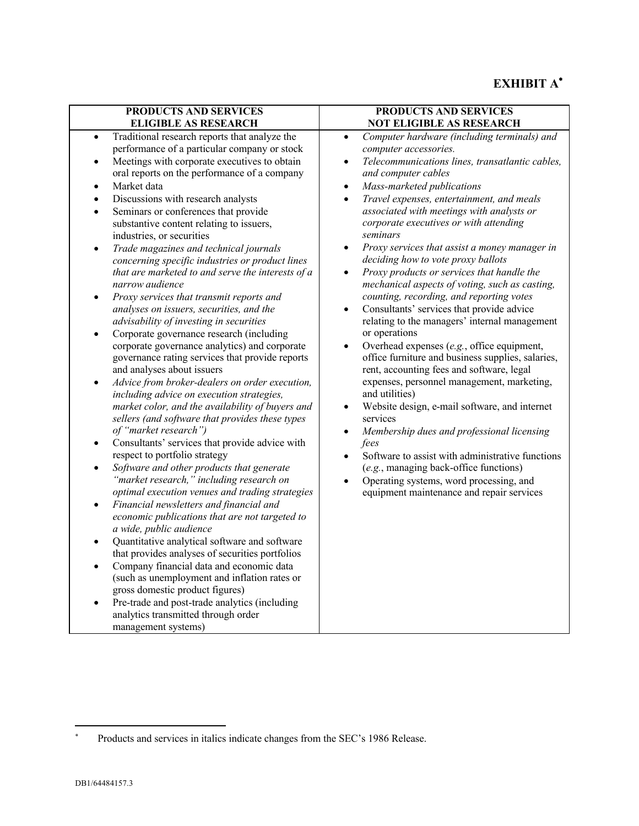# **EXHIBIT A**

| PRODUCTS AND SERVICES                                                                                                                                                                                                                                                                                                                                                                                                                                                                                                                                                                                                                                                                                                                                                                                                                                                                                                                                                                                                                                                                                                                                                                                                                                                                                                                                                                                                                                                                                                                                                                                                                                                                                                                                                                                                                                                                                                                                                                   | PRODUCTS AND SERVICES                                                                                                                                                                                                                                                                                                                                                                                                                                                                                                                                                                                                                                                                                                                                                                                                                                                                                                                                                                                                                                                                                                                                                                                                                                                                                                                                  |
|-----------------------------------------------------------------------------------------------------------------------------------------------------------------------------------------------------------------------------------------------------------------------------------------------------------------------------------------------------------------------------------------------------------------------------------------------------------------------------------------------------------------------------------------------------------------------------------------------------------------------------------------------------------------------------------------------------------------------------------------------------------------------------------------------------------------------------------------------------------------------------------------------------------------------------------------------------------------------------------------------------------------------------------------------------------------------------------------------------------------------------------------------------------------------------------------------------------------------------------------------------------------------------------------------------------------------------------------------------------------------------------------------------------------------------------------------------------------------------------------------------------------------------------------------------------------------------------------------------------------------------------------------------------------------------------------------------------------------------------------------------------------------------------------------------------------------------------------------------------------------------------------------------------------------------------------------------------------------------------------|--------------------------------------------------------------------------------------------------------------------------------------------------------------------------------------------------------------------------------------------------------------------------------------------------------------------------------------------------------------------------------------------------------------------------------------------------------------------------------------------------------------------------------------------------------------------------------------------------------------------------------------------------------------------------------------------------------------------------------------------------------------------------------------------------------------------------------------------------------------------------------------------------------------------------------------------------------------------------------------------------------------------------------------------------------------------------------------------------------------------------------------------------------------------------------------------------------------------------------------------------------------------------------------------------------------------------------------------------------|
| <b>ELIGIBLE AS RESEARCH</b>                                                                                                                                                                                                                                                                                                                                                                                                                                                                                                                                                                                                                                                                                                                                                                                                                                                                                                                                                                                                                                                                                                                                                                                                                                                                                                                                                                                                                                                                                                                                                                                                                                                                                                                                                                                                                                                                                                                                                             | <b>NOT ELIGIBLE AS RESEARCH</b>                                                                                                                                                                                                                                                                                                                                                                                                                                                                                                                                                                                                                                                                                                                                                                                                                                                                                                                                                                                                                                                                                                                                                                                                                                                                                                                        |
| Traditional research reports that analyze the<br>$\bullet$<br>performance of a particular company or stock<br>Meetings with corporate executives to obtain<br>$\bullet$<br>oral reports on the performance of a company<br>Market data<br>$\bullet$<br>Discussions with research analysts<br>$\bullet$<br>Seminars or conferences that provide<br>$\bullet$<br>substantive content relating to issuers,<br>industries, or securities<br>Trade magazines and technical journals<br>$\bullet$<br>concerning specific industries or product lines<br>that are marketed to and serve the interests of a<br>narrow audience<br>Proxy services that transmit reports and<br>$\bullet$<br>analyses on issuers, securities, and the<br>advisability of investing in securities<br>Corporate governance research (including<br>$\bullet$<br>corporate governance analytics) and corporate<br>governance rating services that provide reports<br>and analyses about issuers<br>Advice from broker-dealers on order execution,<br>$\bullet$<br>including advice on execution strategies,<br>market color, and the availability of buyers and<br>sellers (and software that provides these types<br>of "market research")<br>Consultants' services that provide advice with<br>$\bullet$<br>respect to portfolio strategy<br>Software and other products that generate<br>$\bullet$<br>"market research," including research on<br>optimal execution venues and trading strategies<br>Financial newsletters and financial and<br>$\bullet$<br>economic publications that are not targeted to<br>a wide, public audience<br>Quantitative analytical software and software<br>$\bullet$<br>that provides analyses of securities portfolios<br>Company financial data and economic data<br>$\bullet$<br>(such as unemployment and inflation rates or<br>gross domestic product figures)<br>Pre-trade and post-trade analytics (including<br>analytics transmitted through order<br>management systems) | Computer hardware (including terminals) and<br>$\bullet$<br>computer accessories.<br>Telecommunications lines, transatlantic cables,<br>$\bullet$<br>and computer cables<br>Mass-marketed publications<br>$\bullet$<br>Travel expenses, entertainment, and meals<br>$\bullet$<br>associated with meetings with analysts or<br>corporate executives or with attending<br>seminars<br>Proxy services that assist a money manager in<br>$\bullet$<br>deciding how to vote proxy ballots<br>Proxy products or services that handle the<br>$\bullet$<br>mechanical aspects of voting, such as casting,<br>counting, recording, and reporting votes<br>Consultants' services that provide advice<br>$\bullet$<br>relating to the managers' internal management<br>or operations<br>Overhead expenses (e.g., office equipment,<br>$\bullet$<br>office furniture and business supplies, salaries,<br>rent, accounting fees and software, legal<br>expenses, personnel management, marketing,<br>and utilities)<br>Website design, e-mail software, and internet<br>$\bullet$<br>services<br>Membership dues and professional licensing<br>$\bullet$<br>fees<br>Software to assist with administrative functions<br>(e.g., managing back-office functions)<br>Operating systems, word processing, and<br>$\bullet$<br>equipment maintenance and repair services |

<sup>. .</sup> Products and services in italics indicate changes from the SEC's 1986 Release.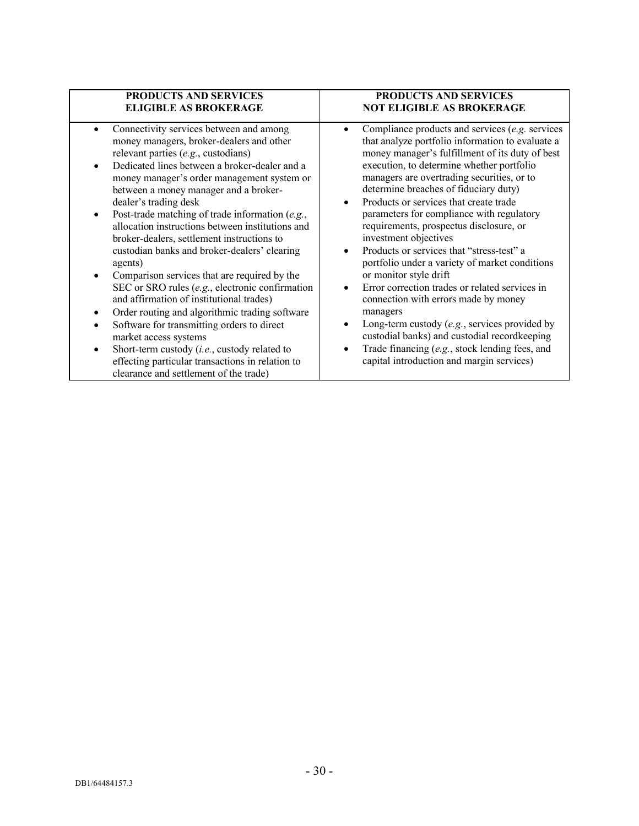| <b>PRODUCTS AND SERVICES</b>                                                                                                                                                                                                                                                                                                                                                                                                                                                                                                                                                                                                                                                                                                                                                                                                                                                                                                                                        | <b>PRODUCTS AND SERVICES</b>                                                                                                                                                                                                                                                                                                                                                                                                                                                                                                                                                                                                                                                                                                                                                                                                                                                                                                                                           |
|---------------------------------------------------------------------------------------------------------------------------------------------------------------------------------------------------------------------------------------------------------------------------------------------------------------------------------------------------------------------------------------------------------------------------------------------------------------------------------------------------------------------------------------------------------------------------------------------------------------------------------------------------------------------------------------------------------------------------------------------------------------------------------------------------------------------------------------------------------------------------------------------------------------------------------------------------------------------|------------------------------------------------------------------------------------------------------------------------------------------------------------------------------------------------------------------------------------------------------------------------------------------------------------------------------------------------------------------------------------------------------------------------------------------------------------------------------------------------------------------------------------------------------------------------------------------------------------------------------------------------------------------------------------------------------------------------------------------------------------------------------------------------------------------------------------------------------------------------------------------------------------------------------------------------------------------------|
| <b>ELIGIBLE AS BROKERAGE</b>                                                                                                                                                                                                                                                                                                                                                                                                                                                                                                                                                                                                                                                                                                                                                                                                                                                                                                                                        | <b>NOT ELIGIBLE AS BROKERAGE</b>                                                                                                                                                                                                                                                                                                                                                                                                                                                                                                                                                                                                                                                                                                                                                                                                                                                                                                                                       |
| Connectivity services between and among<br>money managers, broker-dealers and other<br>relevant parties (e.g., custodians)<br>Dedicated lines between a broker-dealer and a<br>money manager's order management system or<br>between a money manager and a broker-<br>dealer's trading desk<br>Post-trade matching of trade information (e.g.,<br>allocation instructions between institutions and<br>broker-dealers, settlement instructions to<br>custodian banks and broker-dealers' clearing<br>agents)<br>Comparison services that are required by the<br>SEC or SRO rules $(e.g.,)$ electronic confirmation<br>and affirmation of institutional trades)<br>Order routing and algorithmic trading software<br>٠<br>Software for transmitting orders to direct<br>$\bullet$<br>market access systems<br>Short-term custody (i.e., custody related to<br>$\bullet$<br>effecting particular transactions in relation to<br>clearance and settlement of the trade) | Compliance products and services $(e.g.$ services<br>$\bullet$<br>that analyze portfolio information to evaluate a<br>money manager's fulfillment of its duty of best<br>execution, to determine whether portfolio<br>managers are overtrading securities, or to<br>determine breaches of fiduciary duty)<br>Products or services that create trade<br>$\bullet$<br>parameters for compliance with regulatory<br>requirements, prospectus disclosure, or<br>investment objectives<br>Products or services that "stress-test" a<br>$\bullet$<br>portfolio under a variety of market conditions<br>or monitor style drift<br>Error correction trades or related services in<br>$\bullet$<br>connection with errors made by money<br>managers<br>Long-term custody $(e.g.,$ services provided by<br>$\bullet$<br>custodial banks) and custodial recordkeeping<br>Trade financing (e.g., stock lending fees, and<br>$\bullet$<br>capital introduction and margin services) |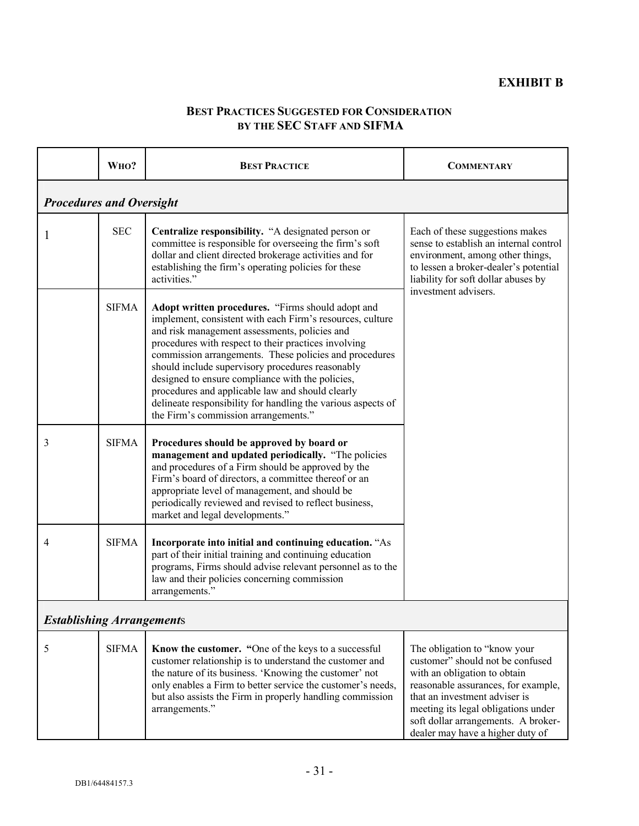## **BEST PRACTICES SUGGESTED FOR CONSIDERATION BY THE SEC STAFF AND SIFMA**

|                                  | WHO?         | <b>BEST PRACTICE</b>                                                                                                                                                                                                                                                                                                                                                                                                                                                                                                                                  | <b>COMMENTARY</b>                                                                                                                                                                                                                                                                          |
|----------------------------------|--------------|-------------------------------------------------------------------------------------------------------------------------------------------------------------------------------------------------------------------------------------------------------------------------------------------------------------------------------------------------------------------------------------------------------------------------------------------------------------------------------------------------------------------------------------------------------|--------------------------------------------------------------------------------------------------------------------------------------------------------------------------------------------------------------------------------------------------------------------------------------------|
| <b>Procedures and Oversight</b>  |              |                                                                                                                                                                                                                                                                                                                                                                                                                                                                                                                                                       |                                                                                                                                                                                                                                                                                            |
|                                  | <b>SEC</b>   | Centralize responsibility. "A designated person or<br>committee is responsible for overseeing the firm's soft<br>dollar and client directed brokerage activities and for<br>establishing the firm's operating policies for these<br>activities."                                                                                                                                                                                                                                                                                                      | Each of these suggestions makes<br>sense to establish an internal control<br>environment, among other things,<br>to lessen a broker-dealer's potential<br>liability for soft dollar abuses by                                                                                              |
|                                  | <b>SIFMA</b> | Adopt written procedures. "Firms should adopt and<br>implement, consistent with each Firm's resources, culture<br>and risk management assessments, policies and<br>procedures with respect to their practices involving<br>commission arrangements. These policies and procedures<br>should include supervisory procedures reasonably<br>designed to ensure compliance with the policies,<br>procedures and applicable law and should clearly<br>delineate responsibility for handling the various aspects of<br>the Firm's commission arrangements." | investment advisers.                                                                                                                                                                                                                                                                       |
| 3                                | <b>SIFMA</b> | Procedures should be approved by board or<br>management and updated periodically. "The policies<br>and procedures of a Firm should be approved by the<br>Firm's board of directors, a committee thereof or an<br>appropriate level of management, and should be<br>periodically reviewed and revised to reflect business,<br>market and legal developments."                                                                                                                                                                                          |                                                                                                                                                                                                                                                                                            |
| 4                                | <b>SIFMA</b> | Incorporate into initial and continuing education. "As<br>part of their initial training and continuing education<br>programs, Firms should advise relevant personnel as to the<br>law and their policies concerning commission<br>arrangements."                                                                                                                                                                                                                                                                                                     |                                                                                                                                                                                                                                                                                            |
| <b>Establishing Arrangements</b> |              |                                                                                                                                                                                                                                                                                                                                                                                                                                                                                                                                                       |                                                                                                                                                                                                                                                                                            |
| 5                                | <b>SIFMA</b> | Know the customer. "One of the keys to a successful<br>customer relationship is to understand the customer and<br>the nature of its business. 'Knowing the customer' not<br>only enables a Firm to better service the customer's needs,<br>but also assists the Firm in properly handling commission<br>arrangements."                                                                                                                                                                                                                                | The obligation to "know your<br>customer" should not be confused<br>with an obligation to obtain<br>reasonable assurances, for example,<br>that an investment adviser is<br>meeting its legal obligations under<br>soft dollar arrangements. A broker-<br>dealer may have a higher duty of |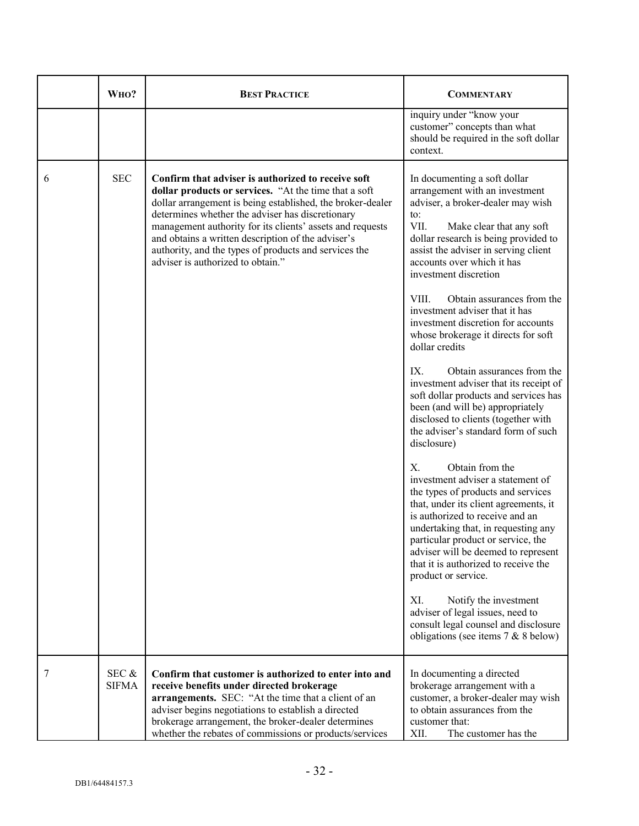|   | WHO?                  | <b>BEST PRACTICE</b>                                                                                                                                                                                                                                                                                                                                                                                                                           | <b>COMMENTARY</b>                                                                                                                                                                                                                                                                                                                                                                                                                                                                                                                                                                                                                                                                                                                                                                                                                                                                                                                                                                                                                                                                                                                                                                                                                                          |
|---|-----------------------|------------------------------------------------------------------------------------------------------------------------------------------------------------------------------------------------------------------------------------------------------------------------------------------------------------------------------------------------------------------------------------------------------------------------------------------------|------------------------------------------------------------------------------------------------------------------------------------------------------------------------------------------------------------------------------------------------------------------------------------------------------------------------------------------------------------------------------------------------------------------------------------------------------------------------------------------------------------------------------------------------------------------------------------------------------------------------------------------------------------------------------------------------------------------------------------------------------------------------------------------------------------------------------------------------------------------------------------------------------------------------------------------------------------------------------------------------------------------------------------------------------------------------------------------------------------------------------------------------------------------------------------------------------------------------------------------------------------|
|   |                       |                                                                                                                                                                                                                                                                                                                                                                                                                                                | inquiry under "know your<br>customer" concepts than what<br>should be required in the soft dollar<br>context.                                                                                                                                                                                                                                                                                                                                                                                                                                                                                                                                                                                                                                                                                                                                                                                                                                                                                                                                                                                                                                                                                                                                              |
| 6 | <b>SEC</b>            | Confirm that adviser is authorized to receive soft<br>dollar products or services. "At the time that a soft<br>dollar arrangement is being established, the broker-dealer<br>determines whether the adviser has discretionary<br>management authority for its clients' assets and requests<br>and obtains a written description of the adviser's<br>authority, and the types of products and services the<br>adviser is authorized to obtain." | In documenting a soft dollar<br>arrangement with an investment<br>adviser, a broker-dealer may wish<br>to:<br>VII.<br>Make clear that any soft<br>dollar research is being provided to<br>assist the adviser in serving client<br>accounts over which it has<br>investment discretion<br>VIII.<br>Obtain assurances from the<br>investment adviser that it has<br>investment discretion for accounts<br>whose brokerage it directs for soft<br>dollar credits<br>Obtain assurances from the<br>$IX_{-}$<br>investment adviser that its receipt of<br>soft dollar products and services has<br>been (and will be) appropriately<br>disclosed to clients (together with<br>the adviser's standard form of such<br>disclosure)<br>Obtain from the<br>$X_{-}$<br>investment adviser a statement of<br>the types of products and services<br>that, under its client agreements, it<br>is authorized to receive and an<br>undertaking that, in requesting any<br>particular product or service, the<br>adviser will be deemed to represent<br>that it is authorized to receive the<br>product or service.<br>XI.<br>Notify the investment<br>adviser of legal issues, need to<br>consult legal counsel and disclosure<br>obligations (see items $7 & 8$ 8 below) |
| 7 | SEC &<br><b>SIFMA</b> | Confirm that customer is authorized to enter into and<br>receive benefits under directed brokerage<br>arrangements. SEC: "At the time that a client of an<br>adviser begins negotiations to establish a directed<br>brokerage arrangement, the broker-dealer determines<br>whether the rebates of commissions or products/services                                                                                                             | In documenting a directed<br>brokerage arrangement with a<br>customer, a broker-dealer may wish<br>to obtain assurances from the<br>customer that:<br>The customer has the<br>XII.                                                                                                                                                                                                                                                                                                                                                                                                                                                                                                                                                                                                                                                                                                                                                                                                                                                                                                                                                                                                                                                                         |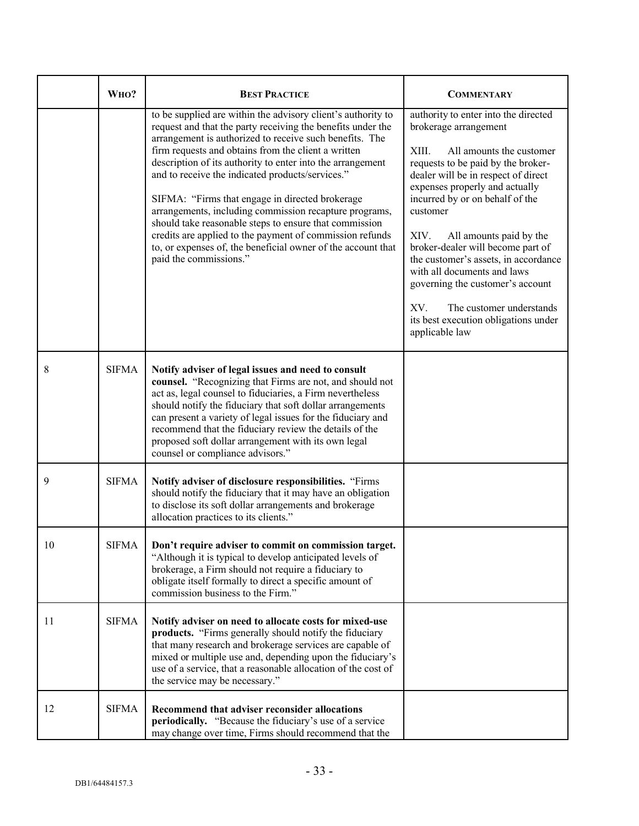|    | WHO?         | <b>BEST PRACTICE</b>                                                                                                                                                                                                                                                                                                                                                                                                                                                                                                                                                                                                                                                                         | <b>COMMENTARY</b>                                                                                                                                                                                                                                                                                                                                                                                                                                                                                                                                |
|----|--------------|----------------------------------------------------------------------------------------------------------------------------------------------------------------------------------------------------------------------------------------------------------------------------------------------------------------------------------------------------------------------------------------------------------------------------------------------------------------------------------------------------------------------------------------------------------------------------------------------------------------------------------------------------------------------------------------------|--------------------------------------------------------------------------------------------------------------------------------------------------------------------------------------------------------------------------------------------------------------------------------------------------------------------------------------------------------------------------------------------------------------------------------------------------------------------------------------------------------------------------------------------------|
|    |              | to be supplied are within the advisory client's authority to<br>request and that the party receiving the benefits under the<br>arrangement is authorized to receive such benefits. The<br>firm requests and obtains from the client a written<br>description of its authority to enter into the arrangement<br>and to receive the indicated products/services."<br>SIFMA: "Firms that engage in directed brokerage<br>arrangements, including commission recapture programs,<br>should take reasonable steps to ensure that commission<br>credits are applied to the payment of commission refunds<br>to, or expenses of, the beneficial owner of the account that<br>paid the commissions." | authority to enter into the directed<br>brokerage arrangement<br>XIII.<br>All amounts the customer<br>requests to be paid by the broker-<br>dealer will be in respect of direct<br>expenses properly and actually<br>incurred by or on behalf of the<br>customer<br>XIV.<br>All amounts paid by the<br>broker-dealer will become part of<br>the customer's assets, in accordance<br>with all documents and laws<br>governing the customer's account<br>The customer understands<br>XV.<br>its best execution obligations under<br>applicable law |
| 8  | <b>SIFMA</b> | Notify adviser of legal issues and need to consult<br>counsel. "Recognizing that Firms are not, and should not<br>act as, legal counsel to fiduciaries, a Firm nevertheless<br>should notify the fiduciary that soft dollar arrangements<br>can present a variety of legal issues for the fiduciary and<br>recommend that the fiduciary review the details of the<br>proposed soft dollar arrangement with its own legal<br>counsel or compliance advisors."                                                                                                                                                                                                                                 |                                                                                                                                                                                                                                                                                                                                                                                                                                                                                                                                                  |
| 9  | <b>SIFMA</b> | Notify adviser of disclosure responsibilities. "Firms<br>should notify the fiduciary that it may have an obligation<br>to disclose its soft dollar arrangements and brokerage<br>allocation practices to its clients."                                                                                                                                                                                                                                                                                                                                                                                                                                                                       |                                                                                                                                                                                                                                                                                                                                                                                                                                                                                                                                                  |
| 10 | SIFMA        | Don't require adviser to commit on commission target.<br>"Although it is typical to develop anticipated levels of<br>brokerage, a Firm should not require a fiduciary to<br>obligate itself formally to direct a specific amount of<br>commission business to the Firm."                                                                                                                                                                                                                                                                                                                                                                                                                     |                                                                                                                                                                                                                                                                                                                                                                                                                                                                                                                                                  |
| 11 | <b>SIFMA</b> | Notify adviser on need to allocate costs for mixed-use<br>products. "Firms generally should notify the fiduciary<br>that many research and brokerage services are capable of<br>mixed or multiple use and, depending upon the fiduciary's<br>use of a service, that a reasonable allocation of the cost of<br>the service may be necessary."                                                                                                                                                                                                                                                                                                                                                 |                                                                                                                                                                                                                                                                                                                                                                                                                                                                                                                                                  |
| 12 | <b>SIFMA</b> | Recommend that adviser reconsider allocations<br>periodically. "Because the fiduciary's use of a service<br>may change over time, Firms should recommend that the                                                                                                                                                                                                                                                                                                                                                                                                                                                                                                                            |                                                                                                                                                                                                                                                                                                                                                                                                                                                                                                                                                  |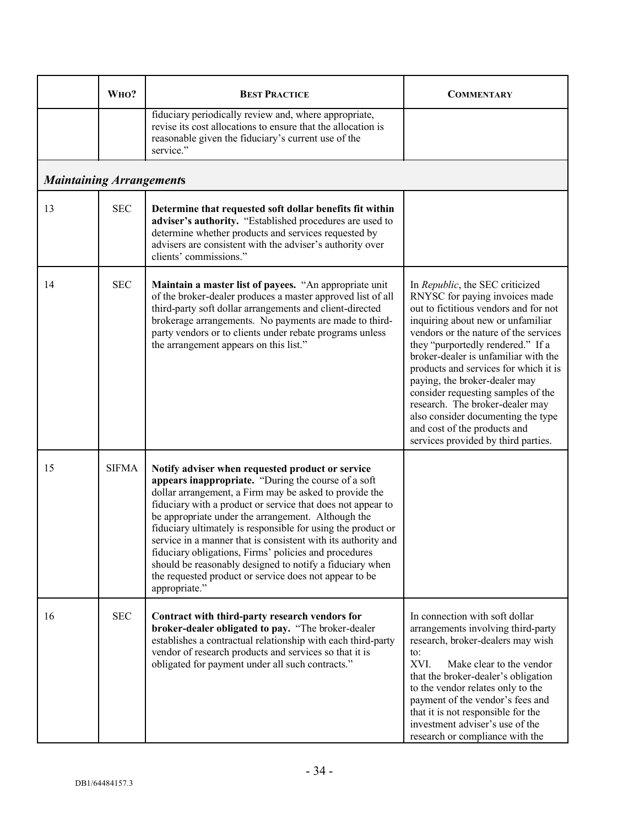|    | WHO?                            | <b>BEST PRACTICE</b>                                                                                                                                                                                                                                                                                                                                                                                                                                                                                                                                                                                                    | <b>COMMENTARY</b>                                                                                                                                                                                                                                                                                                                                                                                                                                                                                                                     |
|----|---------------------------------|-------------------------------------------------------------------------------------------------------------------------------------------------------------------------------------------------------------------------------------------------------------------------------------------------------------------------------------------------------------------------------------------------------------------------------------------------------------------------------------------------------------------------------------------------------------------------------------------------------------------------|---------------------------------------------------------------------------------------------------------------------------------------------------------------------------------------------------------------------------------------------------------------------------------------------------------------------------------------------------------------------------------------------------------------------------------------------------------------------------------------------------------------------------------------|
|    |                                 | fiduciary periodically review and, where appropriate,<br>revise its cost allocations to ensure that the allocation is<br>reasonable given the fiduciary's current use of the<br>service."                                                                                                                                                                                                                                                                                                                                                                                                                               |                                                                                                                                                                                                                                                                                                                                                                                                                                                                                                                                       |
|    | <b>Maintaining Arrangements</b> |                                                                                                                                                                                                                                                                                                                                                                                                                                                                                                                                                                                                                         |                                                                                                                                                                                                                                                                                                                                                                                                                                                                                                                                       |
| 13 | <b>SEC</b>                      | Determine that requested soft dollar benefits fit within<br>adviser's authority. "Established procedures are used to<br>determine whether products and services requested by<br>advisers are consistent with the adviser's authority over<br>clients' commissions."                                                                                                                                                                                                                                                                                                                                                     |                                                                                                                                                                                                                                                                                                                                                                                                                                                                                                                                       |
| 14 | <b>SEC</b>                      | Maintain a master list of payees. "An appropriate unit<br>of the broker-dealer produces a master approved list of all<br>third-party soft dollar arrangements and client-directed<br>brokerage arrangements. No payments are made to third-<br>party vendors or to clients under rebate programs unless<br>the arrangement appears on this list."                                                                                                                                                                                                                                                                       | In Republic, the SEC criticized<br>RNYSC for paying invoices made<br>out to fictitious vendors and for not<br>inquiring about new or unfamiliar<br>vendors or the nature of the services<br>they "purportedly rendered." If a<br>broker-dealer is unfamiliar with the<br>products and services for which it is<br>paying, the broker-dealer may<br>consider requesting samples of the<br>research. The broker-dealer may<br>also consider documenting the type<br>and cost of the products and<br>services provided by third parties. |
| 15 | <b>SIFMA</b>                    | Notify adviser when requested product or service<br>appears inappropriate. "During the course of a soft<br>dollar arrangement, a Firm may be asked to provide the<br>fiduciary with a product or service that does not appear to<br>be appropriate under the arrangement. Although the<br>fiduciary ultimately is responsible for using the product or<br>service in a manner that is consistent with its authority and<br>fiduciary obligations, Firms' policies and procedures<br>should be reasonably designed to notify a fiduciary when<br>the requested product or service does not appear to be<br>appropriate." |                                                                                                                                                                                                                                                                                                                                                                                                                                                                                                                                       |
| 16 | <b>SEC</b>                      | Contract with third-party research vendors for<br>broker-dealer obligated to pay. "The broker-dealer<br>establishes a contractual relationship with each third-party<br>vendor of research products and services so that it is<br>obligated for payment under all such contracts."                                                                                                                                                                                                                                                                                                                                      | In connection with soft dollar<br>arrangements involving third-party<br>research, broker-dealers may wish<br>to:<br>XVI.<br>Make clear to the vendor<br>that the broker-dealer's obligation<br>to the vendor relates only to the<br>payment of the vendor's fees and<br>that it is not responsible for the<br>investment adviser's use of the<br>research or compliance with the                                                                                                                                                      |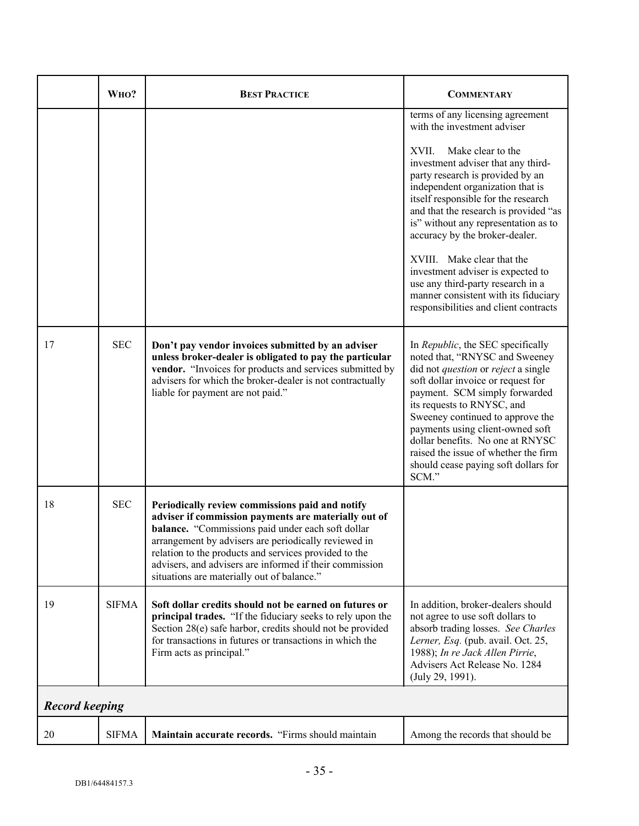|                       | WHO?         | <b>BEST PRACTICE</b>                                                                                                                                                                                                                                                                                                                                                                   | <b>COMMENTARY</b>                                                                                                                                                                                                                                                                                                                                                                                                                                                                                                                                              |
|-----------------------|--------------|----------------------------------------------------------------------------------------------------------------------------------------------------------------------------------------------------------------------------------------------------------------------------------------------------------------------------------------------------------------------------------------|----------------------------------------------------------------------------------------------------------------------------------------------------------------------------------------------------------------------------------------------------------------------------------------------------------------------------------------------------------------------------------------------------------------------------------------------------------------------------------------------------------------------------------------------------------------|
|                       |              |                                                                                                                                                                                                                                                                                                                                                                                        | terms of any licensing agreement<br>with the investment adviser<br>Make clear to the<br>XVII.<br>investment adviser that any third-<br>party research is provided by an<br>independent organization that is<br>itself responsible for the research<br>and that the research is provided "as<br>is" without any representation as to<br>accuracy by the broker-dealer.<br>XVIII. Make clear that the<br>investment adviser is expected to<br>use any third-party research in a<br>manner consistent with its fiduciary<br>responsibilities and client contracts |
| 17                    | <b>SEC</b>   | Don't pay vendor invoices submitted by an adviser<br>unless broker-dealer is obligated to pay the particular<br>vendor. "Invoices for products and services submitted by<br>advisers for which the broker-dealer is not contractually<br>liable for payment are not paid."                                                                                                             | In Republic, the SEC specifically<br>noted that, "RNYSC and Sweeney<br>did not <i>question</i> or <i>reject</i> a single<br>soft dollar invoice or request for<br>payment. SCM simply forwarded<br>its requests to RNYSC, and<br>Sweeney continued to approve the<br>payments using client-owned soft<br>dollar benefits. No one at RNYSC<br>raised the issue of whether the firm<br>should cease paying soft dollars for<br>SCM."                                                                                                                             |
| 18                    | <b>SEC</b>   | Periodically review commissions paid and notify<br>adviser if commission payments are materially out of<br>balance. "Commissions paid under each soft dollar<br>arrangement by advisers are periodically reviewed in<br>relation to the products and services provided to the<br>advisers, and advisers are informed if their commission<br>situations are materially out of balance." |                                                                                                                                                                                                                                                                                                                                                                                                                                                                                                                                                                |
| 19                    | <b>SIFMA</b> | Soft dollar credits should not be earned on futures or<br>principal trades. "If the fiduciary seeks to rely upon the<br>Section 28(e) safe harbor, credits should not be provided<br>for transactions in futures or transactions in which the<br>Firm acts as principal."                                                                                                              | In addition, broker-dealers should<br>not agree to use soft dollars to<br>absorb trading losses. See Charles<br>Lerner, Esq. (pub. avail. Oct. 25,<br>1988); In re Jack Allen Pirrie,<br>Advisers Act Release No. 1284<br>(July 29, 1991).                                                                                                                                                                                                                                                                                                                     |
| <b>Record keeping</b> |              |                                                                                                                                                                                                                                                                                                                                                                                        |                                                                                                                                                                                                                                                                                                                                                                                                                                                                                                                                                                |
| 20                    | <b>SIFMA</b> | Maintain accurate records. "Firms should maintain                                                                                                                                                                                                                                                                                                                                      | Among the records that should be                                                                                                                                                                                                                                                                                                                                                                                                                                                                                                                               |